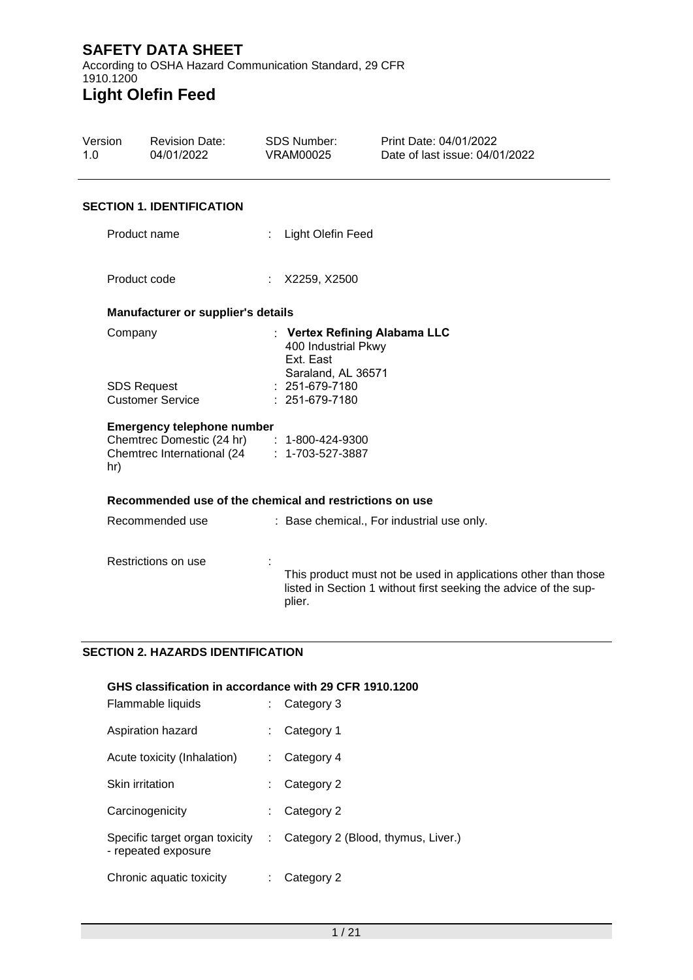According to OSHA Hazard Communication Standard, 29 CFR 1910.1200 **Light Olefin Feed**

| Version<br>1.0 |                                               | <b>Revision Date:</b><br>04/01/2022                                                                                            | <b>SDS Number:</b><br><b>VRAM00025</b>                                                  | Print Date: 04/01/2022<br>Date of last issue: 04/01/2022                                                                           |  |
|----------------|-----------------------------------------------|--------------------------------------------------------------------------------------------------------------------------------|-----------------------------------------------------------------------------------------|------------------------------------------------------------------------------------------------------------------------------------|--|
|                |                                               | <b>SECTION 1. IDENTIFICATION</b>                                                                                               |                                                                                         |                                                                                                                                    |  |
|                | Product name                                  |                                                                                                                                | Light Olefin Feed                                                                       |                                                                                                                                    |  |
|                | Product code                                  |                                                                                                                                | : X2259, X2500                                                                          |                                                                                                                                    |  |
|                |                                               | Manufacturer or supplier's details                                                                                             |                                                                                         |                                                                                                                                    |  |
|                | Company                                       |                                                                                                                                | : Vertex Refining Alabama LLC<br>400 Industrial Pkwy<br>Ext. East<br>Saraland, AL 36571 |                                                                                                                                    |  |
|                | <b>SDS Request</b><br><b>Customer Service</b> |                                                                                                                                | : 251-679-7180<br>: 251-679-7180                                                        |                                                                                                                                    |  |
|                | hr)                                           | <b>Emergency telephone number</b><br>Chemtrec Domestic (24 hr) : 1-800-424-9300<br>Chemtrec International (24 : 1-703-527-3887 |                                                                                         |                                                                                                                                    |  |
|                |                                               | Recommended use of the chemical and restrictions on use                                                                        |                                                                                         |                                                                                                                                    |  |
|                |                                               | Recommended use                                                                                                                |                                                                                         | : Base chemical., For industrial use only.                                                                                         |  |
|                |                                               | Restrictions on use                                                                                                            | plier.                                                                                  | This product must not be used in applications other than those<br>listed in Section 1 without first seeking the advice of the sup- |  |
|                |                                               |                                                                                                                                |                                                                                         |                                                                                                                                    |  |

## **SECTION 2. HAZARDS IDENTIFICATION**

| GHS classification in accordance with 29 CFR 1910.1200 |    |                                    |  |  |  |  |
|--------------------------------------------------------|----|------------------------------------|--|--|--|--|
| Flammable liquids                                      |    | Category 3                         |  |  |  |  |
| Aspiration hazard                                      | ÷. | Category 1                         |  |  |  |  |
| Acute toxicity (Inhalation)                            |    | Category 4                         |  |  |  |  |
| Skin irritation                                        | ÷  | Category 2                         |  |  |  |  |
| Carcinogenicity                                        |    | Category 2                         |  |  |  |  |
| Specific target organ toxicity<br>- repeated exposure  |    | Category 2 (Blood, thymus, Liver.) |  |  |  |  |
| Chronic aquatic toxicity                               |    | Category 2                         |  |  |  |  |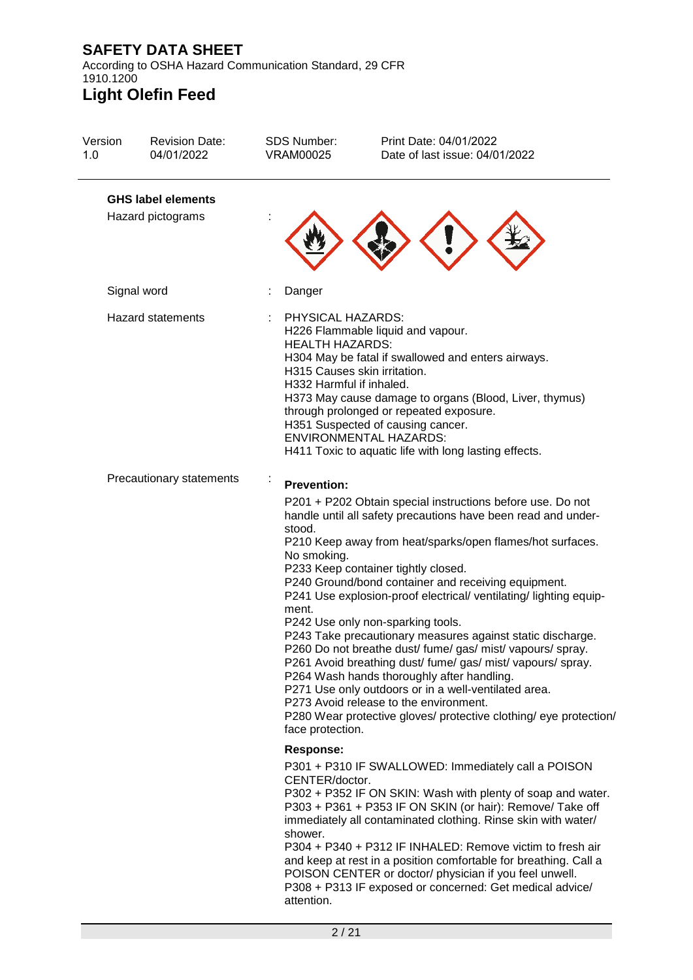According to OSHA Hazard Communication Standard, 29 CFR 1910.1200 **Light Olefin Feed**

### Version 1.0 Revision Date: 04/01/2022 SDS Number: VRAM00025 Print Date: 04/01/2022 Date of last issue: 04/01/2022 **GHS label elements** Hazard pictograms : Signal word : Danger Hazard statements : PHYSICAL HAZARDS: H226 Flammable liquid and vapour. HEALTH HAZARDS: H304 May be fatal if swallowed and enters airways. H315 Causes skin irritation. H332 Harmful if inhaled. H373 May cause damage to organs (Blood, Liver, thymus) through prolonged or repeated exposure. H351 Suspected of causing cancer. ENVIRONMENTAL HAZARDS: H411 Toxic to aquatic life with long lasting effects. Precautionary statements : **Prevention:**  P201 + P202 Obtain special instructions before use. Do not handle until all safety precautions have been read and understood. P210 Keep away from heat/sparks/open flames/hot surfaces. No smoking. P233 Keep container tightly closed. P240 Ground/bond container and receiving equipment. P241 Use explosion-proof electrical/ ventilating/ lighting equipment. P242 Use only non-sparking tools. P243 Take precautionary measures against static discharge. P260 Do not breathe dust/ fume/ gas/ mist/ vapours/ spray. P261 Avoid breathing dust/ fume/ gas/ mist/ vapours/ spray. P264 Wash hands thoroughly after handling. P271 Use only outdoors or in a well-ventilated area. P273 Avoid release to the environment. P280 Wear protective gloves/ protective clothing/ eye protection/ face protection. **Response:**  P301 + P310 IF SWALLOWED: Immediately call a POISON CENTER/doctor. P302 + P352 IF ON SKIN: Wash with plenty of soap and water. P303 + P361 + P353 IF ON SKIN (or hair): Remove/ Take off immediately all contaminated clothing. Rinse skin with water/ shower. P304 + P340 + P312 IF INHALED: Remove victim to fresh air and keep at rest in a position comfortable for breathing. Call a POISON CENTER or doctor/ physician if you feel unwell. P308 + P313 IF exposed or concerned: Get medical advice/ attention.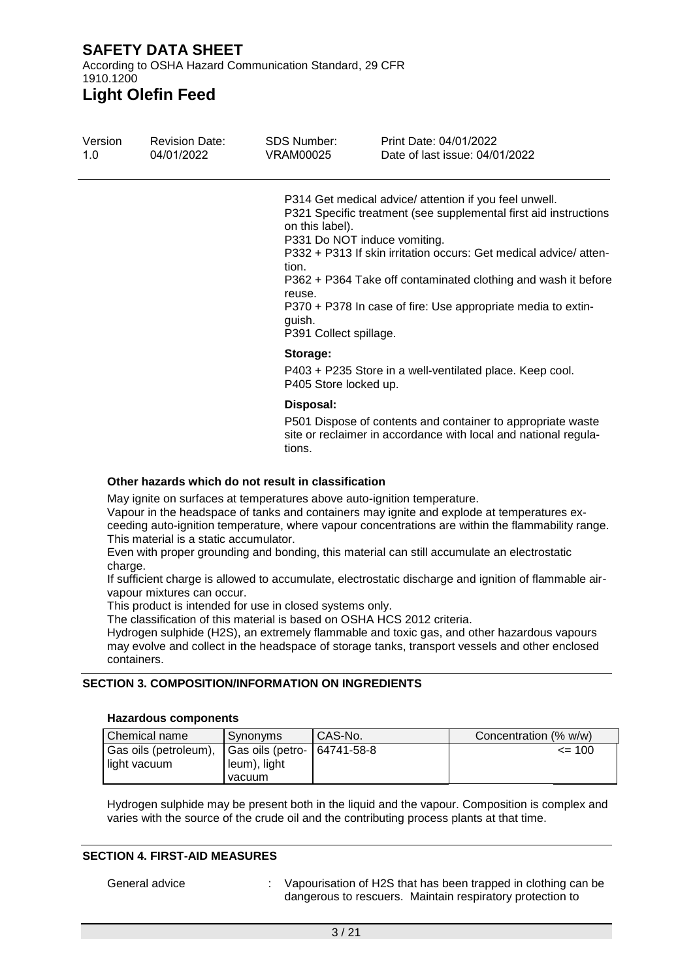According to OSHA Hazard Communication Standard, 29 CFR 1910.1200

**Light Olefin Feed**

| Version<br>1.0 | <b>Revision Date:</b><br>04/01/2022 | SDS Number:<br>VRAM00025                                               | Print Date: 04/01/2022<br>Date of last issue: 04/01/2022                                                                                                                                                                                                                                                                                                        |
|----------------|-------------------------------------|------------------------------------------------------------------------|-----------------------------------------------------------------------------------------------------------------------------------------------------------------------------------------------------------------------------------------------------------------------------------------------------------------------------------------------------------------|
|                |                                     | on this label).<br>tion.<br>reuse.<br>quish.<br>P391 Collect spillage. | P314 Get medical advice/ attention if you feel unwell.<br>P321 Specific treatment (see supplemental first aid instructions<br>P331 Do NOT induce vomiting.<br>P332 + P313 If skin irritation occurs: Get medical advice/atten-<br>P362 + P364 Take off contaminated clothing and wash it before<br>P370 + P378 In case of fire: Use appropriate media to extin- |
|                |                                     | Storage:<br>P405 Store locked up.                                      | P403 + P235 Store in a well-ventilated place. Keep cool.                                                                                                                                                                                                                                                                                                        |
|                |                                     | Disposal:                                                              | P501 Dispose of contents and container to appropriate waste<br>site or reclaimer in accordance with local and national regula-                                                                                                                                                                                                                                  |

**Other hazards which do not result in classification**

May ignite on surfaces at temperatures above auto-ignition temperature.

tions.

Vapour in the headspace of tanks and containers may ignite and explode at temperatures exceeding auto-ignition temperature, where vapour concentrations are within the flammability range. This material is a static accumulator.

Even with proper grounding and bonding, this material can still accumulate an electrostatic charge.

If sufficient charge is allowed to accumulate, electrostatic discharge and ignition of flammable airvapour mixtures can occur.

This product is intended for use in closed systems only.

The classification of this material is based on OSHA HCS 2012 criteria.

Hydrogen sulphide (H2S), an extremely flammable and toxic gas, and other hazardous vapours may evolve and collect in the headspace of storage tanks, transport vessels and other enclosed containers.

### **SECTION 3. COMPOSITION/INFORMATION ON INGREDIENTS**

#### **Hazardous components**

| ⊧Chemical name        | ⊩Svnonvms                   | I CAS-No. | Concentration (% w/w) |
|-----------------------|-----------------------------|-----------|-----------------------|
| Gas oils (petroleum), | Gas oils (petro- 64741-58-8 |           | $\leq$ 100            |
| light vacuum          | leum), light                |           |                       |
|                       | vacuum                      |           |                       |

Hydrogen sulphide may be present both in the liquid and the vapour. Composition is complex and varies with the source of the crude oil and the contributing process plants at that time.

### **SECTION 4. FIRST-AID MEASURES**

General advice : Vapourisation of H2S that has been trapped in clothing can be dangerous to rescuers. Maintain respiratory protection to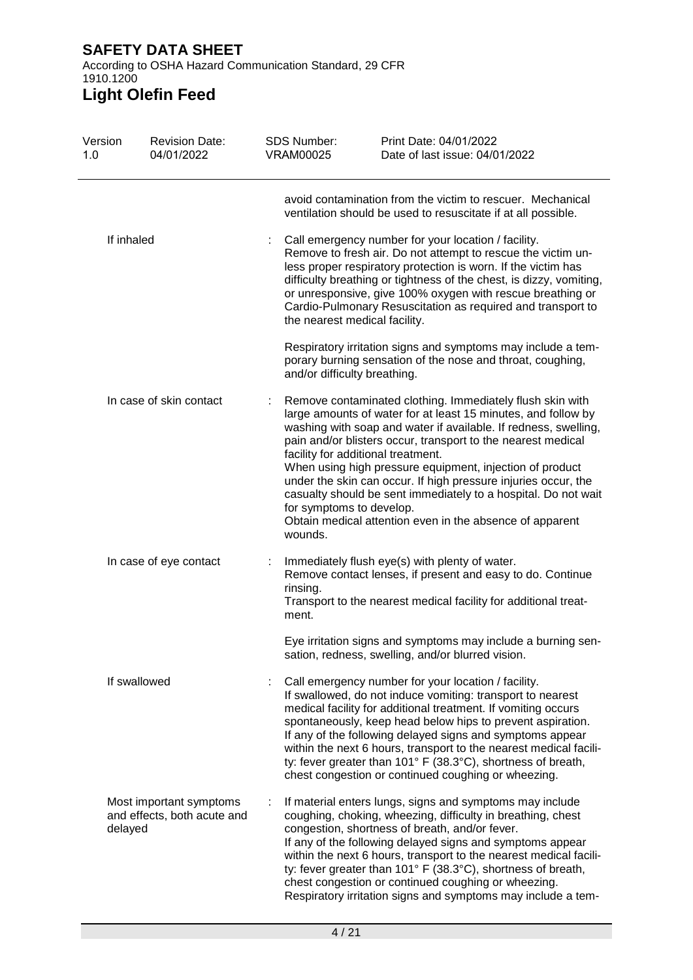According to OSHA Hazard Communication Standard, 29 CFR 1910.1200

# **Light Olefin Feed**

| Version<br>1.0 | <b>Revision Date:</b><br>04/01/2022                    | <b>SDS Number:</b><br><b>VRAM00025</b> | Print Date: 04/01/2022<br>Date of last issue: 04/01/2022                                                                                                                                                                                                                                                                                                                                                                                                                                                                                                        |
|----------------|--------------------------------------------------------|----------------------------------------|-----------------------------------------------------------------------------------------------------------------------------------------------------------------------------------------------------------------------------------------------------------------------------------------------------------------------------------------------------------------------------------------------------------------------------------------------------------------------------------------------------------------------------------------------------------------|
|                |                                                        |                                        | avoid contamination from the victim to rescuer. Mechanical<br>ventilation should be used to resuscitate if at all possible.                                                                                                                                                                                                                                                                                                                                                                                                                                     |
|                | If inhaled                                             |                                        | Call emergency number for your location / facility.<br>Remove to fresh air. Do not attempt to rescue the victim un-<br>less proper respiratory protection is worn. If the victim has<br>difficulty breathing or tightness of the chest, is dizzy, vomiting,<br>or unresponsive, give 100% oxygen with rescue breathing or<br>Cardio-Pulmonary Resuscitation as required and transport to<br>the nearest medical facility.                                                                                                                                       |
|                |                                                        |                                        | Respiratory irritation signs and symptoms may include a tem-<br>porary burning sensation of the nose and throat, coughing,<br>and/or difficulty breathing.                                                                                                                                                                                                                                                                                                                                                                                                      |
|                | In case of skin contact                                | for symptoms to develop.<br>wounds.    | Remove contaminated clothing. Immediately flush skin with<br>large amounts of water for at least 15 minutes, and follow by<br>washing with soap and water if available. If redness, swelling,<br>pain and/or blisters occur, transport to the nearest medical<br>facility for additional treatment.<br>When using high pressure equipment, injection of product<br>under the skin can occur. If high pressure injuries occur, the<br>casualty should be sent immediately to a hospital. Do not wait<br>Obtain medical attention even in the absence of apparent |
|                | In case of eye contact                                 | rinsing.<br>ment.                      | Immediately flush eye(s) with plenty of water.<br>Remove contact lenses, if present and easy to do. Continue<br>Transport to the nearest medical facility for additional treat-                                                                                                                                                                                                                                                                                                                                                                                 |
|                |                                                        |                                        | Eye irritation signs and symptoms may include a burning sen-<br>sation, redness, swelling, and/or blurred vision.                                                                                                                                                                                                                                                                                                                                                                                                                                               |
|                | If swallowed                                           |                                        | Call emergency number for your location / facility.<br>If swallowed, do not induce vomiting: transport to nearest<br>medical facility for additional treatment. If vomiting occurs<br>spontaneously, keep head below hips to prevent aspiration.<br>If any of the following delayed signs and symptoms appear<br>within the next 6 hours, transport to the nearest medical facili-<br>ty: fever greater than 101° F (38.3°C), shortness of breath,<br>chest congestion or continued coughing or wheezing.                                                       |
| delayed        | Most important symptoms<br>and effects, both acute and |                                        | If material enters lungs, signs and symptoms may include<br>coughing, choking, wheezing, difficulty in breathing, chest<br>congestion, shortness of breath, and/or fever.<br>If any of the following delayed signs and symptoms appear<br>within the next 6 hours, transport to the nearest medical facili-<br>ty: fever greater than 101° F (38.3°C), shortness of breath,<br>chest congestion or continued coughing or wheezing.<br>Respiratory irritation signs and symptoms may include a tem-                                                              |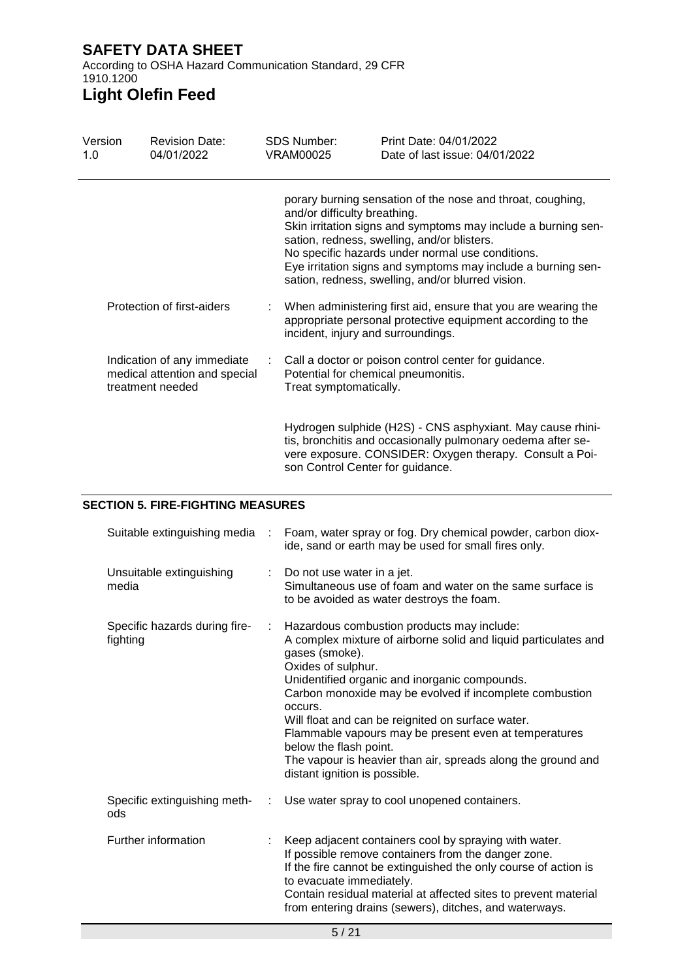According to OSHA Hazard Communication Standard, 29 CFR 1910.1200

# **Light Olefin Feed**

| Version<br>1.0                                                                   |  | <b>Revision Date:</b><br>04/01/2022 |                                                                                                                                                                                                                                                                                                                                                                                     | <b>SDS Number:</b><br><b>VRAM00025</b>                                                                                      | Print Date: 04/01/2022<br>Date of last issue: 04/01/2022                                                                                                                             |  |
|----------------------------------------------------------------------------------|--|-------------------------------------|-------------------------------------------------------------------------------------------------------------------------------------------------------------------------------------------------------------------------------------------------------------------------------------------------------------------------------------------------------------------------------------|-----------------------------------------------------------------------------------------------------------------------------|--------------------------------------------------------------------------------------------------------------------------------------------------------------------------------------|--|
|                                                                                  |  |                                     | porary burning sensation of the nose and throat, coughing,<br>and/or difficulty breathing.<br>Skin irritation signs and symptoms may include a burning sen-<br>sation, redness, swelling, and/or blisters.<br>No specific hazards under normal use conditions.<br>Eye irritation signs and symptoms may include a burning sen-<br>sation, redness, swelling, and/or blurred vision. |                                                                                                                             |                                                                                                                                                                                      |  |
| Protection of first-aiders                                                       |  |                                     | incident, injury and surroundings.                                                                                                                                                                                                                                                                                                                                                  | When administering first aid, ensure that you are wearing the<br>appropriate personal protective equipment according to the |                                                                                                                                                                                      |  |
| Indication of any immediate<br>medical attention and special<br>treatment needed |  | ÷.                                  | Potential for chemical pneumonitis.<br>Treat symptomatically.                                                                                                                                                                                                                                                                                                                       | Call a doctor or poison control center for guidance.                                                                        |                                                                                                                                                                                      |  |
|                                                                                  |  |                                     |                                                                                                                                                                                                                                                                                                                                                                                     | son Control Center for guidance.                                                                                            | Hydrogen sulphide (H2S) - CNS asphyxiant. May cause rhini-<br>tis, bronchitis and occasionally pulmonary oedema after se-<br>vere exposure. CONSIDER: Oxygen therapy. Consult a Poi- |  |

### **SECTION 5. FIRE-FIGHTING MEASURES**

| Suitable extinguishing media<br>$\sim 10$ |    | Foam, water spray or fog. Dry chemical powder, carbon diox-<br>ide, sand or earth may be used for small fires only.                                                                                                                                                                                                                                                                                                                                                                                                   |  |  |
|-------------------------------------------|----|-----------------------------------------------------------------------------------------------------------------------------------------------------------------------------------------------------------------------------------------------------------------------------------------------------------------------------------------------------------------------------------------------------------------------------------------------------------------------------------------------------------------------|--|--|
| Unsuitable extinguishing<br>media         |    | Do not use water in a jet.<br>Simultaneous use of foam and water on the same surface is<br>to be avoided as water destroys the foam.                                                                                                                                                                                                                                                                                                                                                                                  |  |  |
| Specific hazards during fire-<br>fighting | ÷. | Hazardous combustion products may include:<br>A complex mixture of airborne solid and liquid particulates and<br>gases (smoke).<br>Oxides of sulphur.<br>Unidentified organic and inorganic compounds.<br>Carbon monoxide may be evolved if incomplete combustion<br>occurs.<br>Will float and can be reignited on surface water.<br>Flammable vapours may be present even at temperatures<br>below the flash point.<br>The vapour is heavier than air, spreads along the ground and<br>distant ignition is possible. |  |  |
| Specific extinguishing meth-<br>ods       | t. | Use water spray to cool unopened containers.                                                                                                                                                                                                                                                                                                                                                                                                                                                                          |  |  |
| Further information                       |    | Keep adjacent containers cool by spraying with water.<br>If possible remove containers from the danger zone.<br>If the fire cannot be extinguished the only course of action is<br>to evacuate immediately.<br>Contain residual material at affected sites to prevent material<br>from entering drains (sewers), ditches, and waterways.                                                                                                                                                                              |  |  |
| 5/21                                      |    |                                                                                                                                                                                                                                                                                                                                                                                                                                                                                                                       |  |  |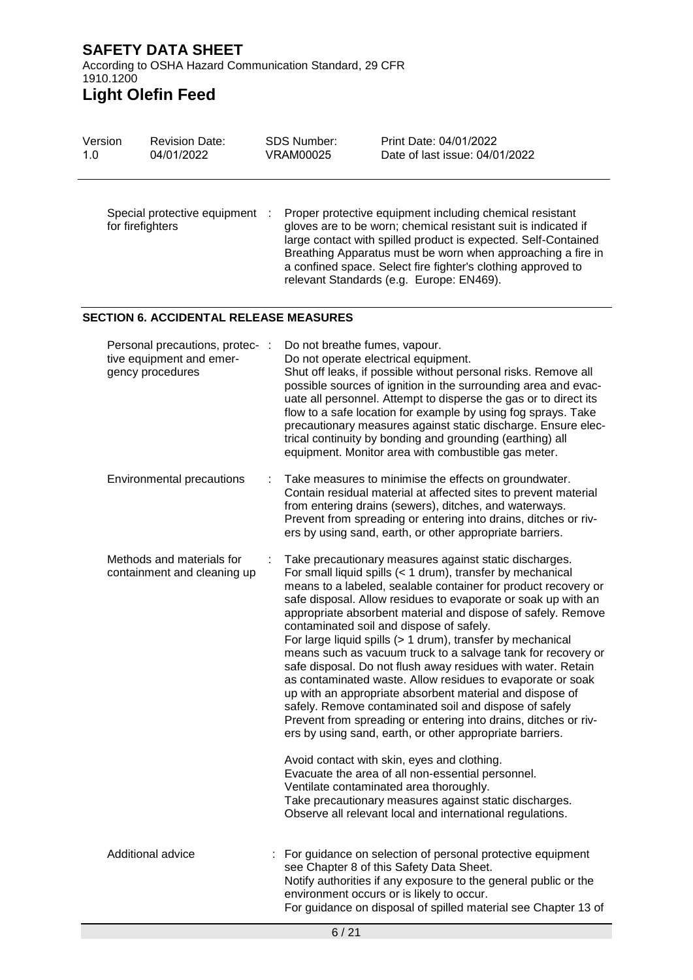According to OSHA Hazard Communication Standard, 29 CFR 1910.1200

# **Light Olefin Feed**

| Version<br>1.0 | <b>Revision Date:</b><br>04/01/2022                                             | <b>SDS Number:</b><br><b>VRAM00025</b> | Print Date: 04/01/2022<br>Date of last issue: 04/01/2022                                                                                                                                                                                                                                                                                                                                                                                                                                                                                                                                                                                                                                                                                                                                                                                                                                                                                                                                                                                                                                                                                                   |
|----------------|---------------------------------------------------------------------------------|----------------------------------------|------------------------------------------------------------------------------------------------------------------------------------------------------------------------------------------------------------------------------------------------------------------------------------------------------------------------------------------------------------------------------------------------------------------------------------------------------------------------------------------------------------------------------------------------------------------------------------------------------------------------------------------------------------------------------------------------------------------------------------------------------------------------------------------------------------------------------------------------------------------------------------------------------------------------------------------------------------------------------------------------------------------------------------------------------------------------------------------------------------------------------------------------------------|
|                | Special protective equipment<br>for firefighters                                |                                        | Proper protective equipment including chemical resistant<br>gloves are to be worn; chemical resistant suit is indicated if<br>large contact with spilled product is expected. Self-Contained<br>Breathing Apparatus must be worn when approaching a fire in<br>a confined space. Select fire fighter's clothing approved to<br>relevant Standards (e.g. Europe: EN469).                                                                                                                                                                                                                                                                                                                                                                                                                                                                                                                                                                                                                                                                                                                                                                                    |
|                | <b>SECTION 6. ACCIDENTAL RELEASE MEASURES</b>                                   |                                        |                                                                                                                                                                                                                                                                                                                                                                                                                                                                                                                                                                                                                                                                                                                                                                                                                                                                                                                                                                                                                                                                                                                                                            |
|                | Personal precautions, protec- :<br>tive equipment and emer-<br>gency procedures | Do not breathe fumes, vapour.          | Do not operate electrical equipment.<br>Shut off leaks, if possible without personal risks. Remove all<br>possible sources of ignition in the surrounding area and evac-<br>uate all personnel. Attempt to disperse the gas or to direct its<br>flow to a safe location for example by using fog sprays. Take<br>precautionary measures against static discharge. Ensure elec-<br>trical continuity by bonding and grounding (earthing) all<br>equipment. Monitor area with combustible gas meter.                                                                                                                                                                                                                                                                                                                                                                                                                                                                                                                                                                                                                                                         |
|                | Environmental precautions                                                       |                                        | Take measures to minimise the effects on groundwater.<br>Contain residual material at affected sites to prevent material<br>from entering drains (sewers), ditches, and waterways.<br>Prevent from spreading or entering into drains, ditches or riv-<br>ers by using sand, earth, or other appropriate barriers.                                                                                                                                                                                                                                                                                                                                                                                                                                                                                                                                                                                                                                                                                                                                                                                                                                          |
|                | Methods and materials for<br>containment and cleaning up                        |                                        | Take precautionary measures against static discharges.<br>For small liquid spills (< 1 drum), transfer by mechanical<br>means to a labeled, sealable container for product recovery or<br>safe disposal. Allow residues to evaporate or soak up with an<br>appropriate absorbent material and dispose of safely. Remove<br>contaminated soil and dispose of safely.<br>For large liquid spills (> 1 drum), transfer by mechanical<br>means such as vacuum truck to a salvage tank for recovery or<br>safe disposal. Do not flush away residues with water. Retain<br>as contaminated waste. Allow residues to evaporate or soak<br>up with an appropriate absorbent material and dispose of<br>safely. Remove contaminated soil and dispose of safely<br>Prevent from spreading or entering into drains, ditches or riv-<br>ers by using sand, earth, or other appropriate barriers.<br>Avoid contact with skin, eyes and clothing.<br>Evacuate the area of all non-essential personnel.<br>Ventilate contaminated area thoroughly.<br>Take precautionary measures against static discharges.<br>Observe all relevant local and international regulations. |
|                | Additional advice                                                               |                                        | For guidance on selection of personal protective equipment<br>see Chapter 8 of this Safety Data Sheet.<br>Notify authorities if any exposure to the general public or the<br>environment occurs or is likely to occur.<br>For guidance on disposal of spilled material see Chapter 13 of                                                                                                                                                                                                                                                                                                                                                                                                                                                                                                                                                                                                                                                                                                                                                                                                                                                                   |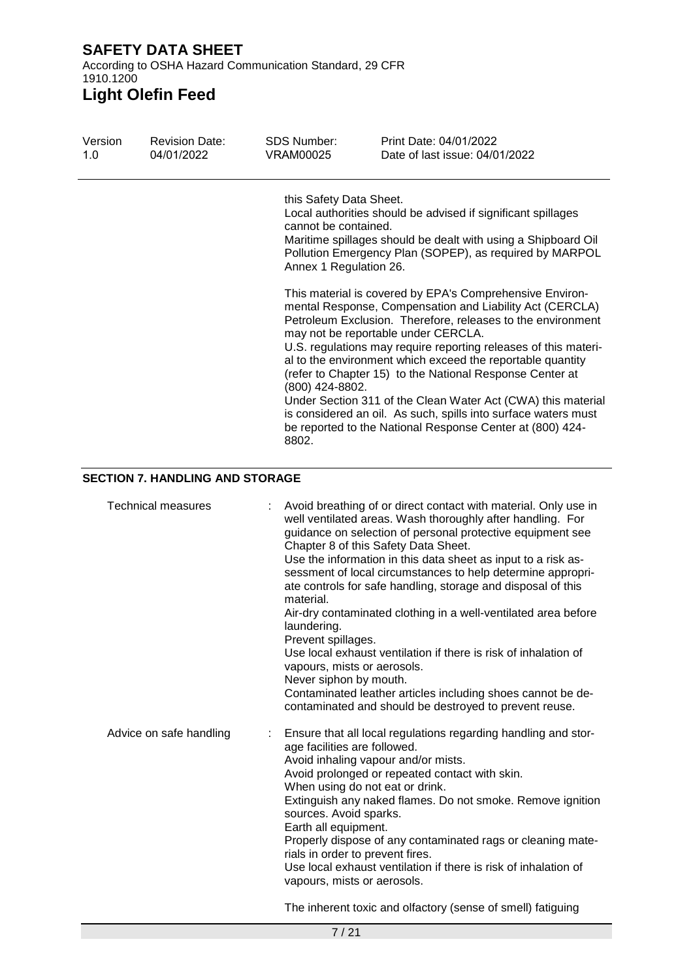According to OSHA Hazard Communication Standard, 29 CFR 1910.1200

# **Light Olefin Feed**

| Version<br>1.0 | <b>Revision Date:</b><br>04/01/2022 | SDS Number:<br>VRAM00025                                                                              | Print Date: 04/01/2022<br>Date of last issue: 04/01/2022                                                                                                                                                                                                                                                                                                                                                                                                                                                                                                                                                                                                                                                                                                                                                           |
|----------------|-------------------------------------|-------------------------------------------------------------------------------------------------------|--------------------------------------------------------------------------------------------------------------------------------------------------------------------------------------------------------------------------------------------------------------------------------------------------------------------------------------------------------------------------------------------------------------------------------------------------------------------------------------------------------------------------------------------------------------------------------------------------------------------------------------------------------------------------------------------------------------------------------------------------------------------------------------------------------------------|
|                |                                     | this Safety Data Sheet.<br>cannot be contained.<br>Annex 1 Regulation 26.<br>(800) 424-8802.<br>8802. | Local authorities should be advised if significant spillages<br>Maritime spillages should be dealt with using a Shipboard Oil<br>Pollution Emergency Plan (SOPEP), as required by MARPOL<br>This material is covered by EPA's Comprehensive Environ-<br>mental Response, Compensation and Liability Act (CERCLA)<br>Petroleum Exclusion. Therefore, releases to the environment<br>may not be reportable under CERCLA.<br>U.S. regulations may require reporting releases of this materi-<br>al to the environment which exceed the reportable quantity<br>(refer to Chapter 15) to the National Response Center at<br>Under Section 311 of the Clean Water Act (CWA) this material<br>is considered an oil. As such, spills into surface waters must<br>be reported to the National Response Center at (800) 424- |
|                | SECTION 7 HANDI ING AND STORAGE     |                                                                                                       |                                                                                                                                                                                                                                                                                                                                                                                                                                                                                                                                                                                                                                                                                                                                                                                                                    |

### **SECTION 7. HANDLING AND STORAGE**

| <b>Technical measures</b> | Avoid breathing of or direct contact with material. Only use in<br>well ventilated areas. Wash thoroughly after handling. For<br>guidance on selection of personal protective equipment see<br>Chapter 8 of this Safety Data Sheet.<br>Use the information in this data sheet as input to a risk as-<br>sessment of local circumstances to help determine appropri-<br>ate controls for safe handling, storage and disposal of this<br>material.<br>Air-dry contaminated clothing in a well-ventilated area before<br>laundering.<br>Prevent spillages.<br>Use local exhaust ventilation if there is risk of inhalation of<br>vapours, mists or aerosols.<br>Never siphon by mouth.<br>Contaminated leather articles including shoes cannot be de-<br>contaminated and should be destroyed to prevent reuse. |
|---------------------------|--------------------------------------------------------------------------------------------------------------------------------------------------------------------------------------------------------------------------------------------------------------------------------------------------------------------------------------------------------------------------------------------------------------------------------------------------------------------------------------------------------------------------------------------------------------------------------------------------------------------------------------------------------------------------------------------------------------------------------------------------------------------------------------------------------------|
| Advice on safe handling   | Ensure that all local regulations regarding handling and stor-<br>age facilities are followed.<br>Avoid inhaling vapour and/or mists.<br>Avoid prolonged or repeated contact with skin.<br>When using do not eat or drink.<br>Extinguish any naked flames. Do not smoke. Remove ignition<br>sources. Avoid sparks.<br>Earth all equipment.<br>Properly dispose of any contaminated rags or cleaning mate-<br>rials in order to prevent fires.<br>Use local exhaust ventilation if there is risk of inhalation of<br>vapours, mists or aerosols.                                                                                                                                                                                                                                                              |

The inherent toxic and olfactory (sense of smell) fatiguing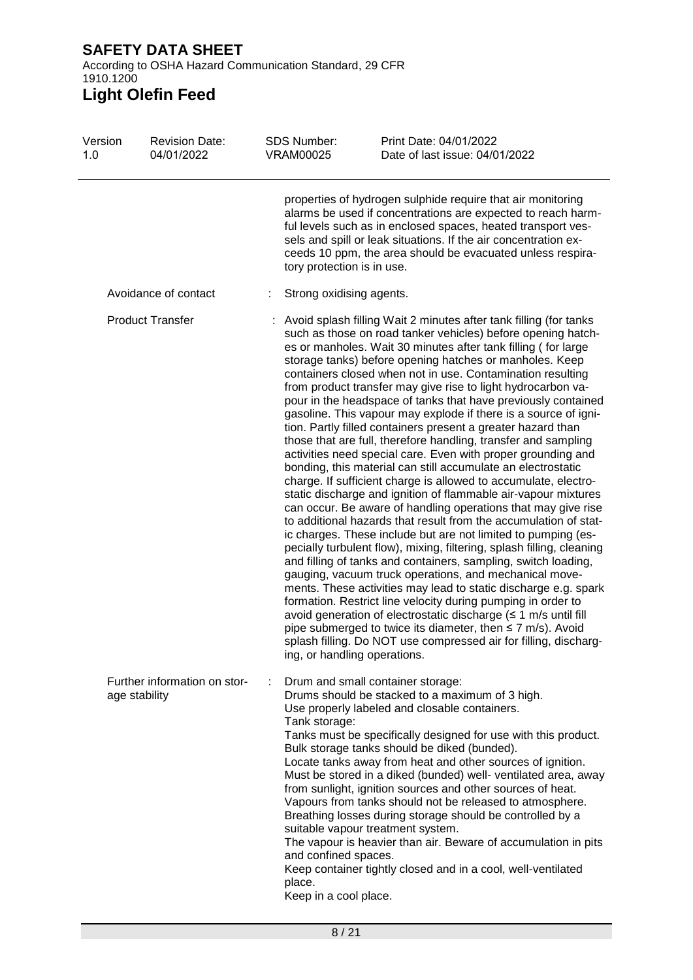According to OSHA Hazard Communication Standard, 29 CFR 1910.1200

# **Light Olefin Feed**

| Version<br>1.0          | <b>Revision Date:</b><br>04/01/2022           | <b>SDS Number:</b><br><b>VRAM00025</b>                                   | Print Date: 04/01/2022<br>Date of last issue: 04/01/2022                                                                                                                                                                                                                                                                                                                                                                                                                                                                                                                                                                                                                                                                                                                                                                                                                                                                                                                                                                                                                                                                                                                                                                                                                                                                                                                                                                                                                                                                                                                                                                                                                                                     |
|-------------------------|-----------------------------------------------|--------------------------------------------------------------------------|--------------------------------------------------------------------------------------------------------------------------------------------------------------------------------------------------------------------------------------------------------------------------------------------------------------------------------------------------------------------------------------------------------------------------------------------------------------------------------------------------------------------------------------------------------------------------------------------------------------------------------------------------------------------------------------------------------------------------------------------------------------------------------------------------------------------------------------------------------------------------------------------------------------------------------------------------------------------------------------------------------------------------------------------------------------------------------------------------------------------------------------------------------------------------------------------------------------------------------------------------------------------------------------------------------------------------------------------------------------------------------------------------------------------------------------------------------------------------------------------------------------------------------------------------------------------------------------------------------------------------------------------------------------------------------------------------------------|
|                         |                                               | tory protection is in use.                                               | properties of hydrogen sulphide require that air monitoring<br>alarms be used if concentrations are expected to reach harm-<br>ful levels such as in enclosed spaces, heated transport ves-<br>sels and spill or leak situations. If the air concentration ex-<br>ceeds 10 ppm, the area should be evacuated unless respira-                                                                                                                                                                                                                                                                                                                                                                                                                                                                                                                                                                                                                                                                                                                                                                                                                                                                                                                                                                                                                                                                                                                                                                                                                                                                                                                                                                                 |
|                         | Avoidance of contact                          | Strong oxidising agents.                                                 |                                                                                                                                                                                                                                                                                                                                                                                                                                                                                                                                                                                                                                                                                                                                                                                                                                                                                                                                                                                                                                                                                                                                                                                                                                                                                                                                                                                                                                                                                                                                                                                                                                                                                                              |
| <b>Product Transfer</b> |                                               | ing, or handling operations.                                             | Avoid splash filling Wait 2 minutes after tank filling (for tanks<br>such as those on road tanker vehicles) before opening hatch-<br>es or manholes. Wait 30 minutes after tank filling (for large<br>storage tanks) before opening hatches or manholes. Keep<br>containers closed when not in use. Contamination resulting<br>from product transfer may give rise to light hydrocarbon va-<br>pour in the headspace of tanks that have previously contained<br>gasoline. This vapour may explode if there is a source of igni-<br>tion. Partly filled containers present a greater hazard than<br>those that are full, therefore handling, transfer and sampling<br>activities need special care. Even with proper grounding and<br>bonding, this material can still accumulate an electrostatic<br>charge. If sufficient charge is allowed to accumulate, electro-<br>static discharge and ignition of flammable air-vapour mixtures<br>can occur. Be aware of handling operations that may give rise<br>to additional hazards that result from the accumulation of stat-<br>ic charges. These include but are not limited to pumping (es-<br>pecially turbulent flow), mixing, filtering, splash filling, cleaning<br>and filling of tanks and containers, sampling, switch loading,<br>gauging, vacuum truck operations, and mechanical move-<br>ments. These activities may lead to static discharge e.g. spark<br>formation. Restrict line velocity during pumping in order to<br>avoid generation of electrostatic discharge $( \leq 1 \text{ m/s}$ until fill<br>pipe submerged to twice its diameter, then $\leq$ 7 m/s). Avoid<br>splash filling. Do NOT use compressed air for filling, discharg- |
|                         | Further information on stor-<br>age stability | Tank storage:<br>and confined spaces.<br>place.<br>Keep in a cool place. | Drum and small container storage:<br>Drums should be stacked to a maximum of 3 high.<br>Use properly labeled and closable containers.<br>Tanks must be specifically designed for use with this product.<br>Bulk storage tanks should be diked (bunded).<br>Locate tanks away from heat and other sources of ignition.<br>Must be stored in a diked (bunded) well- ventilated area, away<br>from sunlight, ignition sources and other sources of heat.<br>Vapours from tanks should not be released to atmosphere.<br>Breathing losses during storage should be controlled by a<br>suitable vapour treatment system.<br>The vapour is heavier than air. Beware of accumulation in pits<br>Keep container tightly closed and in a cool, well-ventilated                                                                                                                                                                                                                                                                                                                                                                                                                                                                                                                                                                                                                                                                                                                                                                                                                                                                                                                                                        |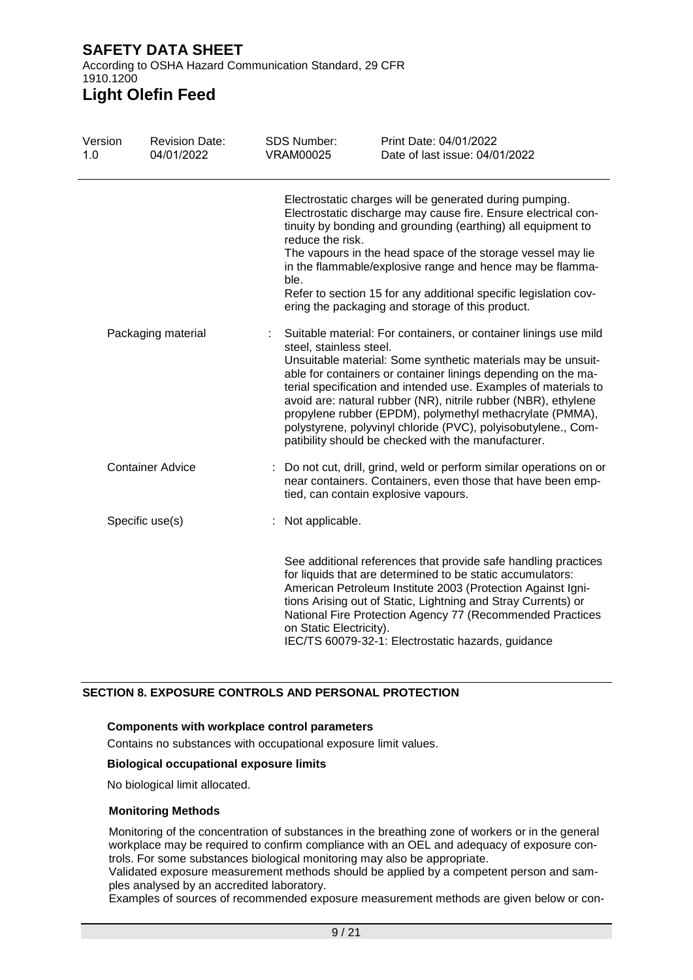According to OSHA Hazard Communication Standard, 29 CFR 1910.1200

# **Light Olefin Feed**

| Version<br>1.0     | <b>Revision Date:</b><br>04/01/2022 | <b>SDS Number:</b><br><b>VRAM00025</b> | Print Date: 04/01/2022<br>Date of last issue: 04/01/2022                                                                                                                                                                                                                                                                                                                                                                                                                                                                                              |
|--------------------|-------------------------------------|----------------------------------------|-------------------------------------------------------------------------------------------------------------------------------------------------------------------------------------------------------------------------------------------------------------------------------------------------------------------------------------------------------------------------------------------------------------------------------------------------------------------------------------------------------------------------------------------------------|
|                    |                                     | reduce the risk.<br>ble.               | Electrostatic charges will be generated during pumping.<br>Electrostatic discharge may cause fire. Ensure electrical con-<br>tinuity by bonding and grounding (earthing) all equipment to<br>The vapours in the head space of the storage vessel may lie<br>in the flammable/explosive range and hence may be flamma-<br>Refer to section 15 for any additional specific legislation cov-<br>ering the packaging and storage of this product.                                                                                                         |
| Packaging material |                                     |                                        | Suitable material: For containers, or container linings use mild<br>steel, stainless steel.<br>Unsuitable material: Some synthetic materials may be unsuit-<br>able for containers or container linings depending on the ma-<br>terial specification and intended use. Examples of materials to<br>avoid are: natural rubber (NR), nitrile rubber (NBR), ethylene<br>propylene rubber (EPDM), polymethyl methacrylate (PMMA),<br>polystyrene, polyvinyl chloride (PVC), polyisobutylene., Com-<br>patibility should be checked with the manufacturer. |
|                    | <b>Container Advice</b>             |                                        | Do not cut, drill, grind, weld or perform similar operations on or<br>near containers. Containers, even those that have been emp-<br>tied, can contain explosive vapours.                                                                                                                                                                                                                                                                                                                                                                             |
|                    | Specific use(s)                     | : Not applicable.                      |                                                                                                                                                                                                                                                                                                                                                                                                                                                                                                                                                       |
|                    |                                     |                                        | See additional references that provide safe handling practices<br>for liquids that are determined to be static accumulators:<br>American Petroleum Institute 2003 (Protection Against Igni-<br>tions Arising out of Static, Lightning and Stray Currents) or<br>National Fire Protection Agency 77 (Recommended Practices<br>on Static Electricity).<br>IEC/TS 60079-32-1: Electrostatic hazards, guidance                                                                                                                                            |

### **SECTION 8. EXPOSURE CONTROLS AND PERSONAL PROTECTION**

### **Components with workplace control parameters**

Contains no substances with occupational exposure limit values.

### **Biological occupational exposure limits**

No biological limit allocated.

### **Monitoring Methods**

Monitoring of the concentration of substances in the breathing zone of workers or in the general workplace may be required to confirm compliance with an OEL and adequacy of exposure controls. For some substances biological monitoring may also be appropriate.

Validated exposure measurement methods should be applied by a competent person and samples analysed by an accredited laboratory.

Examples of sources of recommended exposure measurement methods are given below or con-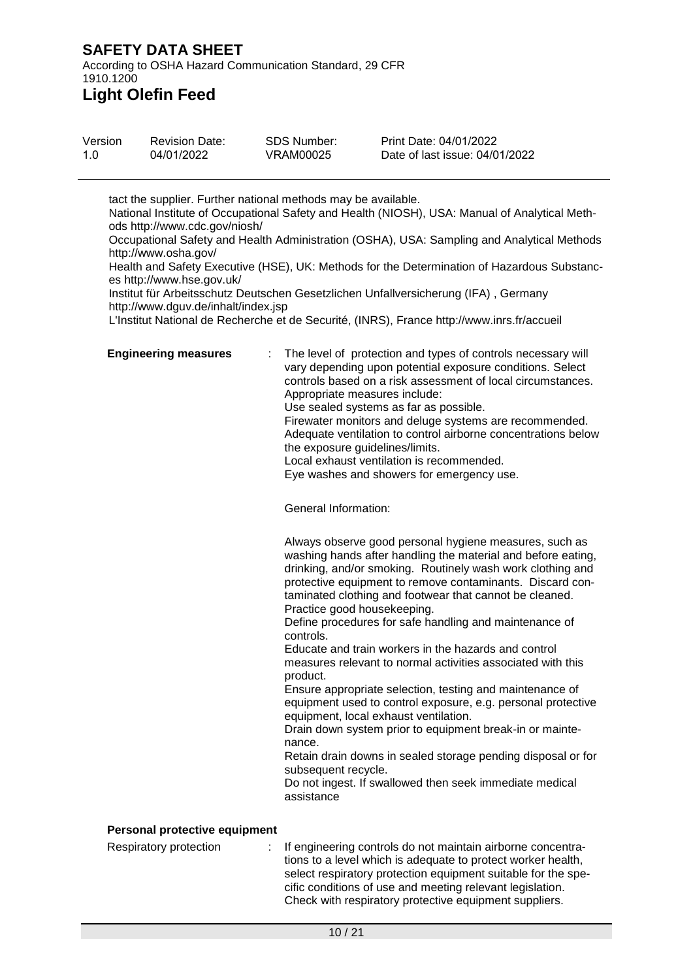According to OSHA Hazard Communication Standard, 29 CFR 1910.1200

# **Light Olefin Feed**

| Version | <b>Revision Date:</b> | SDS Number: | Print Date: 04/01/2022         |
|---------|-----------------------|-------------|--------------------------------|
| 1.0     | 04/01/2022            | VRAM00025   | Date of last issue: 04/01/2022 |

tact the supplier. Further national methods may be available. National Institute of Occupational Safety and Health (NIOSH), USA: Manual of Analytical Methods http://www.cdc.gov/niosh/ Occupational Safety and Health Administration (OSHA), USA: Sampling and Analytical Methods

http://www.osha.gov/ Health and Safety Executive (HSE), UK: Methods for the Determination of Hazardous Substanc-

es http://www.hse.gov.uk/

Institut für Arbeitsschutz Deutschen Gesetzlichen Unfallversicherung (IFA) , Germany http://www.dguv.de/inhalt/index.jsp

L'Institut National de Recherche et de Securité, (INRS), France http://www.inrs.fr/accueil

**Engineering measures** : The level of protection and types of controls necessary will vary depending upon potential exposure conditions. Select controls based on a risk assessment of local circumstances. Appropriate measures include: Use sealed systems as far as possible. Firewater monitors and deluge systems are recommended. Adequate ventilation to control airborne concentrations below the exposure guidelines/limits. Local exhaust ventilation is recommended. Eye washes and showers for emergency use.

General Information:

Always observe good personal hygiene measures, such as washing hands after handling the material and before eating, drinking, and/or smoking. Routinely wash work clothing and protective equipment to remove contaminants. Discard contaminated clothing and footwear that cannot be cleaned. Practice good housekeeping.

Define procedures for safe handling and maintenance of controls.

Educate and train workers in the hazards and control measures relevant to normal activities associated with this product.

Ensure appropriate selection, testing and maintenance of equipment used to control exposure, e.g. personal protective equipment, local exhaust ventilation.

Drain down system prior to equipment break-in or maintenance.

Retain drain downs in sealed storage pending disposal or for subsequent recycle.

Do not ingest. If swallowed then seek immediate medical assistance

### **Personal protective equipment**

Respiratory protection : If engineering controls do not maintain airborne concentrations to a level which is adequate to protect worker health, select respiratory protection equipment suitable for the specific conditions of use and meeting relevant legislation. Check with respiratory protective equipment suppliers.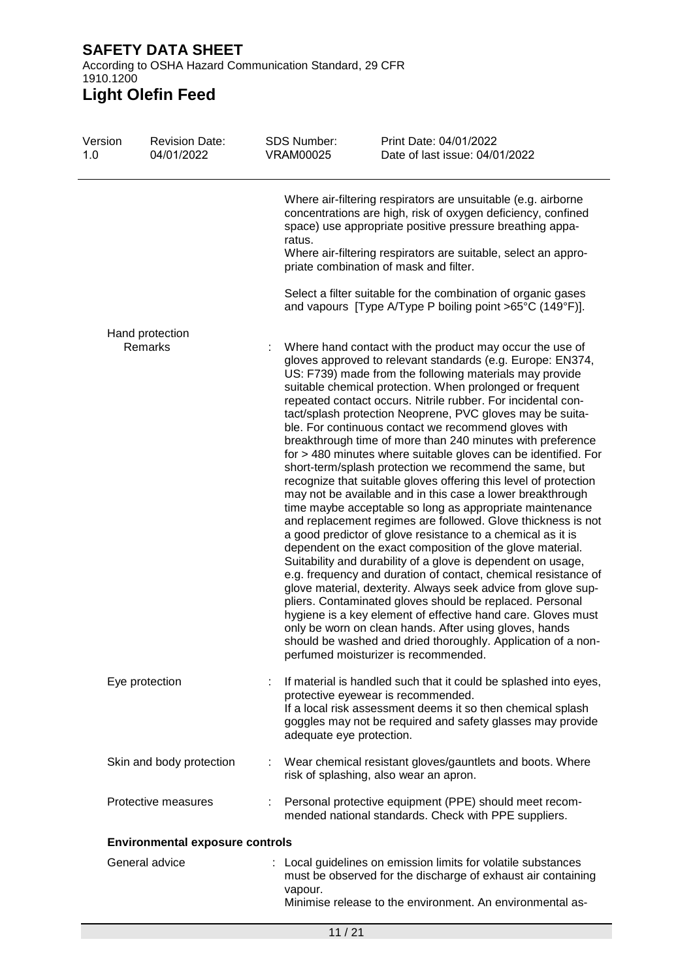According to OSHA Hazard Communication Standard, 29 CFR 1910.1200

# **Light Olefin Feed**

| Version<br>1.0 | <b>Revision Date:</b><br>04/01/2022    | <b>SDS Number:</b><br><b>VRAM00025</b> | Print Date: 04/01/2022<br>Date of last issue: 04/01/2022                                                                                                                                                                                                                                                                                                                                                                                                                                                                                                                                                                                                                                                                                                                                                                                                                                                                                                                                                                                                                                                                                                                                                                                                                                                                                                                                                                                                                                                                 |
|----------------|----------------------------------------|----------------------------------------|--------------------------------------------------------------------------------------------------------------------------------------------------------------------------------------------------------------------------------------------------------------------------------------------------------------------------------------------------------------------------------------------------------------------------------------------------------------------------------------------------------------------------------------------------------------------------------------------------------------------------------------------------------------------------------------------------------------------------------------------------------------------------------------------------------------------------------------------------------------------------------------------------------------------------------------------------------------------------------------------------------------------------------------------------------------------------------------------------------------------------------------------------------------------------------------------------------------------------------------------------------------------------------------------------------------------------------------------------------------------------------------------------------------------------------------------------------------------------------------------------------------------------|
|                |                                        | ratus.                                 | Where air-filtering respirators are unsuitable (e.g. airborne<br>concentrations are high, risk of oxygen deficiency, confined<br>space) use appropriate positive pressure breathing appa-<br>Where air-filtering respirators are suitable, select an appro-<br>priate combination of mask and filter.                                                                                                                                                                                                                                                                                                                                                                                                                                                                                                                                                                                                                                                                                                                                                                                                                                                                                                                                                                                                                                                                                                                                                                                                                    |
|                |                                        |                                        | Select a filter suitable for the combination of organic gases<br>and vapours [Type A/Type P boiling point >65°C (149°F)].                                                                                                                                                                                                                                                                                                                                                                                                                                                                                                                                                                                                                                                                                                                                                                                                                                                                                                                                                                                                                                                                                                                                                                                                                                                                                                                                                                                                |
|                | Hand protection<br>Remarks             |                                        | Where hand contact with the product may occur the use of<br>gloves approved to relevant standards (e.g. Europe: EN374,<br>US: F739) made from the following materials may provide<br>suitable chemical protection. When prolonged or frequent<br>repeated contact occurs. Nitrile rubber. For incidental con-<br>tact/splash protection Neoprene, PVC gloves may be suita-<br>ble. For continuous contact we recommend gloves with<br>breakthrough time of more than 240 minutes with preference<br>for > 480 minutes where suitable gloves can be identified. For<br>short-term/splash protection we recommend the same, but<br>recognize that suitable gloves offering this level of protection<br>may not be available and in this case a lower breakthrough<br>time maybe acceptable so long as appropriate maintenance<br>and replacement regimes are followed. Glove thickness is not<br>a good predictor of glove resistance to a chemical as it is<br>dependent on the exact composition of the glove material.<br>Suitability and durability of a glove is dependent on usage,<br>e.g. frequency and duration of contact, chemical resistance of<br>glove material, dexterity. Always seek advice from glove sup-<br>pliers. Contaminated gloves should be replaced. Personal<br>hygiene is a key element of effective hand care. Gloves must<br>only be worn on clean hands. After using gloves, hands<br>should be washed and dried thoroughly. Application of a non-<br>perfumed moisturizer is recommended. |
|                | Eye protection                         | adequate eye protection.               | If material is handled such that it could be splashed into eyes,<br>protective eyewear is recommended.<br>If a local risk assessment deems it so then chemical splash<br>goggles may not be required and safety glasses may provide                                                                                                                                                                                                                                                                                                                                                                                                                                                                                                                                                                                                                                                                                                                                                                                                                                                                                                                                                                                                                                                                                                                                                                                                                                                                                      |
|                | Skin and body protection               |                                        | : Wear chemical resistant gloves/gauntlets and boots. Where<br>risk of splashing, also wear an apron.                                                                                                                                                                                                                                                                                                                                                                                                                                                                                                                                                                                                                                                                                                                                                                                                                                                                                                                                                                                                                                                                                                                                                                                                                                                                                                                                                                                                                    |
|                | Protective measures                    |                                        | Personal protective equipment (PPE) should meet recom-<br>mended national standards. Check with PPE suppliers.                                                                                                                                                                                                                                                                                                                                                                                                                                                                                                                                                                                                                                                                                                                                                                                                                                                                                                                                                                                                                                                                                                                                                                                                                                                                                                                                                                                                           |
|                | <b>Environmental exposure controls</b> |                                        |                                                                                                                                                                                                                                                                                                                                                                                                                                                                                                                                                                                                                                                                                                                                                                                                                                                                                                                                                                                                                                                                                                                                                                                                                                                                                                                                                                                                                                                                                                                          |
|                | General advice                         | vapour.                                | : Local guidelines on emission limits for volatile substances<br>must be observed for the discharge of exhaust air containing<br>Minimise release to the environment. An environmental as-                                                                                                                                                                                                                                                                                                                                                                                                                                                                                                                                                                                                                                                                                                                                                                                                                                                                                                                                                                                                                                                                                                                                                                                                                                                                                                                               |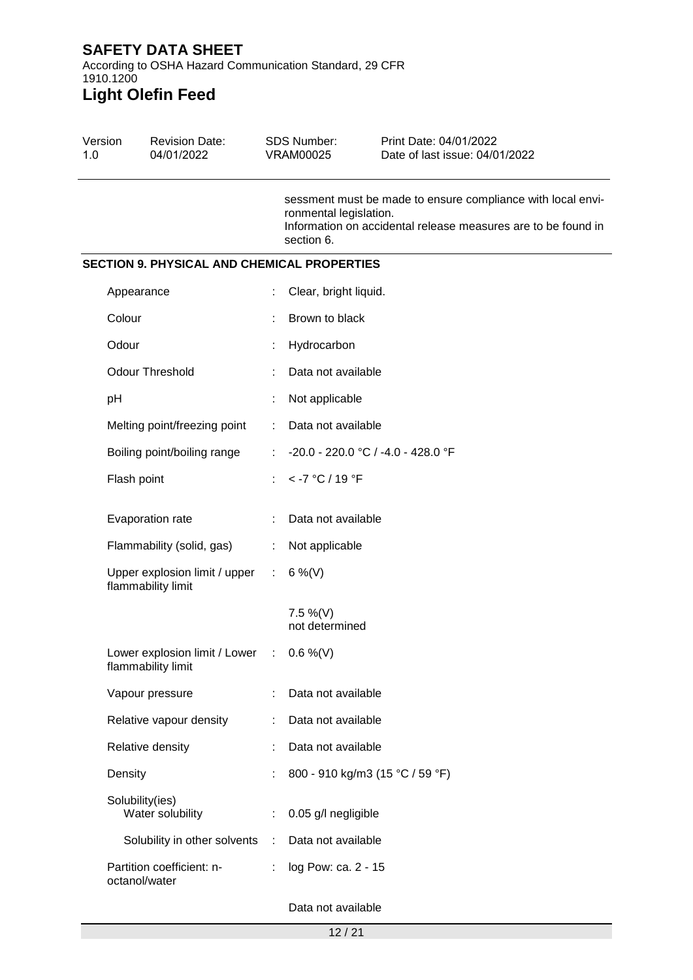According to OSHA Hazard Communication Standard, 29 CFR 1910.1200 **Light Olefin Feed**

# Version 1.0 Revision Date: 04/01/2022 SDS Number: VRAM00025 Print Date: 04/01/2022 Date of last issue: 04/01/2022 sessment must be made to ensure compliance with local environmental legislation. Information on accidental release measures are to be found in section 6. **SECTION 9. PHYSICAL AND CHEMICAL PROPERTIES** Appearance : Clear, bright liquid. Colour : Brown to black Odour : Hydrocarbon Odour Threshold : Data not available pH : Not applicable Melting point/freezing point : Data not available Boiling point/boiling range : -20.0 - 220.0 °C / -4.0 - 428.0 °F Flash point : < -7 °C / 19 °F Evaporation rate : Data not available Flammability (solid, gas) : Not applicable Upper explosion limit / upper flammability limit :  $6\%$  (V) 7.5 %(V) not determined Lower explosion limit / Lower flammability limit  $: 0.6 \%$  (V) Vapour pressure : Data not available Relative vapour density : Data not available Relative density **:** Data not available Density : 800 - 910 kg/m3 (15 °C / 59 °F) Solubility(ies) Water solubility : 0.05 g/l negligible Solubility in other solvents : Data not available Partition coefficient: noctanol/water : log Pow: ca. 2 - 15

### Data not available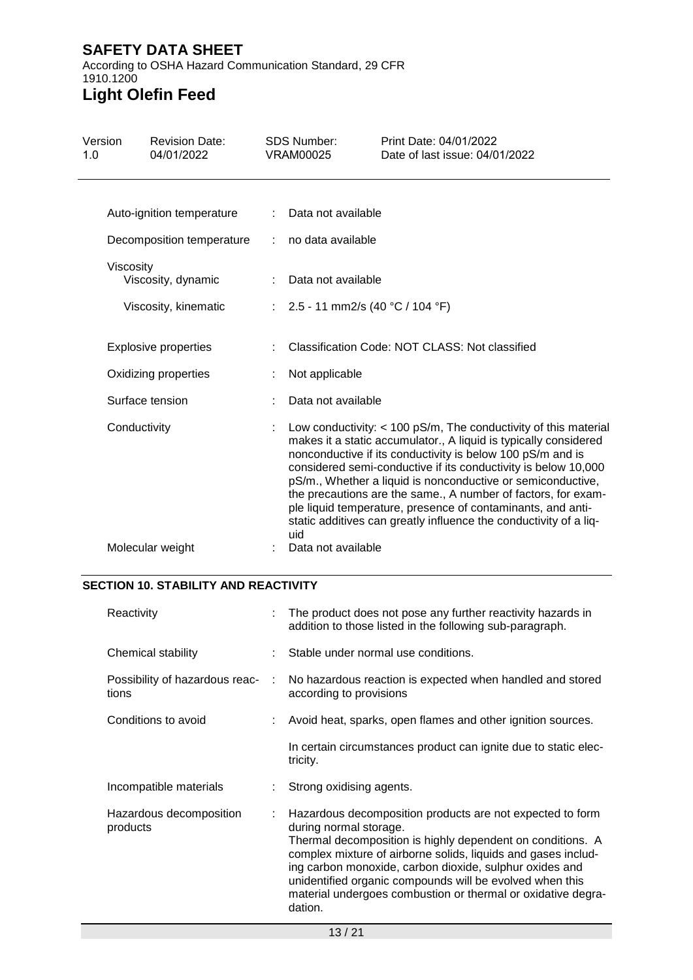According to OSHA Hazard Communication Standard, 29 CFR 1910.1200 **Light Olefin Feed**

| Version<br>1.0 |                 | <b>Revision Date:</b><br>04/01/2022 |   | <b>SDS Number:</b><br><b>VRAM00025</b> | Print Date: 04/01/2022<br>Date of last issue: 04/01/2022                                                                                                                                                                                                                                                                                                                                                                                                                                                                                  |
|----------------|-----------------|-------------------------------------|---|----------------------------------------|-------------------------------------------------------------------------------------------------------------------------------------------------------------------------------------------------------------------------------------------------------------------------------------------------------------------------------------------------------------------------------------------------------------------------------------------------------------------------------------------------------------------------------------------|
|                |                 | Auto-ignition temperature           |   | Data not available                     |                                                                                                                                                                                                                                                                                                                                                                                                                                                                                                                                           |
|                |                 | Decomposition temperature           |   | no data available                      |                                                                                                                                                                                                                                                                                                                                                                                                                                                                                                                                           |
|                | Viscosity       | Viscosity, dynamic                  |   | Data not available                     |                                                                                                                                                                                                                                                                                                                                                                                                                                                                                                                                           |
|                |                 | Viscosity, kinematic                |   | : $2.5 - 11$ mm2/s (40 °C / 104 °F)    |                                                                                                                                                                                                                                                                                                                                                                                                                                                                                                                                           |
|                |                 | <b>Explosive properties</b>         |   |                                        | Classification Code: NOT CLASS: Not classified                                                                                                                                                                                                                                                                                                                                                                                                                                                                                            |
|                |                 | Oxidizing properties                |   | Not applicable                         |                                                                                                                                                                                                                                                                                                                                                                                                                                                                                                                                           |
|                | Surface tension |                                     |   | Data not available                     |                                                                                                                                                                                                                                                                                                                                                                                                                                                                                                                                           |
|                | Conductivity    |                                     | ÷ | uid                                    | Low conductivity: $<$ 100 pS/m, The conductivity of this material<br>makes it a static accumulator., A liquid is typically considered<br>nonconductive if its conductivity is below 100 pS/m and is<br>considered semi-conductive if its conductivity is below 10,000<br>pS/m., Whether a liquid is nonconductive or semiconductive,<br>the precautions are the same., A number of factors, for exam-<br>ple liquid temperature, presence of contaminants, and anti-<br>static additives can greatly influence the conductivity of a liq- |
|                |                 | Molecular weight                    |   | Data not available                     |                                                                                                                                                                                                                                                                                                                                                                                                                                                                                                                                           |

### **SECTION 10. STABILITY AND REACTIVITY**

| Reactivity                              |   | : The product does not pose any further reactivity hazards in<br>addition to those listed in the following sub-paragraph.                                                                                                                                                                                                                                                                                            |
|-----------------------------------------|---|----------------------------------------------------------------------------------------------------------------------------------------------------------------------------------------------------------------------------------------------------------------------------------------------------------------------------------------------------------------------------------------------------------------------|
| Chemical stability                      |   | Stable under normal use conditions.                                                                                                                                                                                                                                                                                                                                                                                  |
| Possibility of hazardous reac-<br>tions | ÷ | No hazardous reaction is expected when handled and stored<br>according to provisions                                                                                                                                                                                                                                                                                                                                 |
| Conditions to avoid                     |   | Avoid heat, sparks, open flames and other ignition sources.                                                                                                                                                                                                                                                                                                                                                          |
|                                         |   | In certain circumstances product can ignite due to static elec-<br>tricity.                                                                                                                                                                                                                                                                                                                                          |
| Incompatible materials                  |   | Strong oxidising agents.                                                                                                                                                                                                                                                                                                                                                                                             |
| Hazardous decomposition<br>products     |   | Hazardous decomposition products are not expected to form<br>during normal storage.<br>Thermal decomposition is highly dependent on conditions. A<br>complex mixture of airborne solids, liquids and gases includ-<br>ing carbon monoxide, carbon dioxide, sulphur oxides and<br>unidentified organic compounds will be evolved when this<br>material undergoes combustion or thermal or oxidative degra-<br>dation. |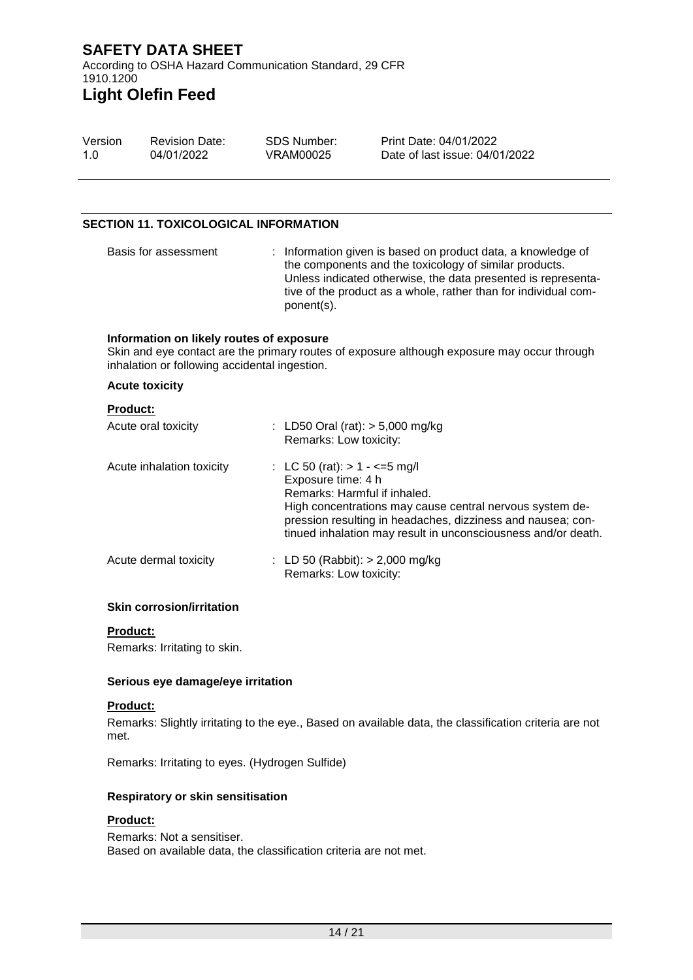According to OSHA Hazard Communication Standard, 29 CFR 1910.1200 **Light Olefin Feed**

#### Version 1.0 Revision Date: 04/01/2022 SDS Number: VRAM00025 Print Date: 04/01/2022 Date of last issue: 04/01/2022

### **SECTION 11. TOXICOLOGICAL INFORMATION**

Basis for assessment : Information given is based on product data, a knowledge of the components and the toxicology of similar products. Unless indicated otherwise, the data presented is representative of the product as a whole, rather than for individual component(s).

#### **Information on likely routes of exposure**

Skin and eye contact are the primary routes of exposure although exposure may occur through inhalation or following accidental ingestion.

#### **Acute toxicity**

### **Product:**

| Acute oral toxicity       | : LD50 Oral (rat): $> 5,000$ mg/kg<br>Remarks: Low toxicity:                                                                                                                                                                                                                        |
|---------------------------|-------------------------------------------------------------------------------------------------------------------------------------------------------------------------------------------------------------------------------------------------------------------------------------|
| Acute inhalation toxicity | : LC 50 (rat): $> 1 - \le 5$ mg/l<br>Exposure time: 4 h<br>Remarks: Harmful if inhaled.<br>High concentrations may cause central nervous system de-<br>pression resulting in headaches, dizziness and nausea; con-<br>tinued inhalation may result in unconsciousness and/or death. |
| Acute dermal toxicity     | : LD 50 (Rabbit): $> 2,000$ mg/kg<br>Remarks: Low toxicity:                                                                                                                                                                                                                         |

#### **Skin corrosion/irritation**

#### **Product:**

Remarks: Irritating to skin.

#### **Serious eye damage/eye irritation**

#### **Product:**

Remarks: Slightly irritating to the eye., Based on available data, the classification criteria are not met.

Remarks: Irritating to eyes. (Hydrogen Sulfide)

#### **Respiratory or skin sensitisation**

### **Product:**

Remarks: Not a sensitiser. Based on available data, the classification criteria are not met.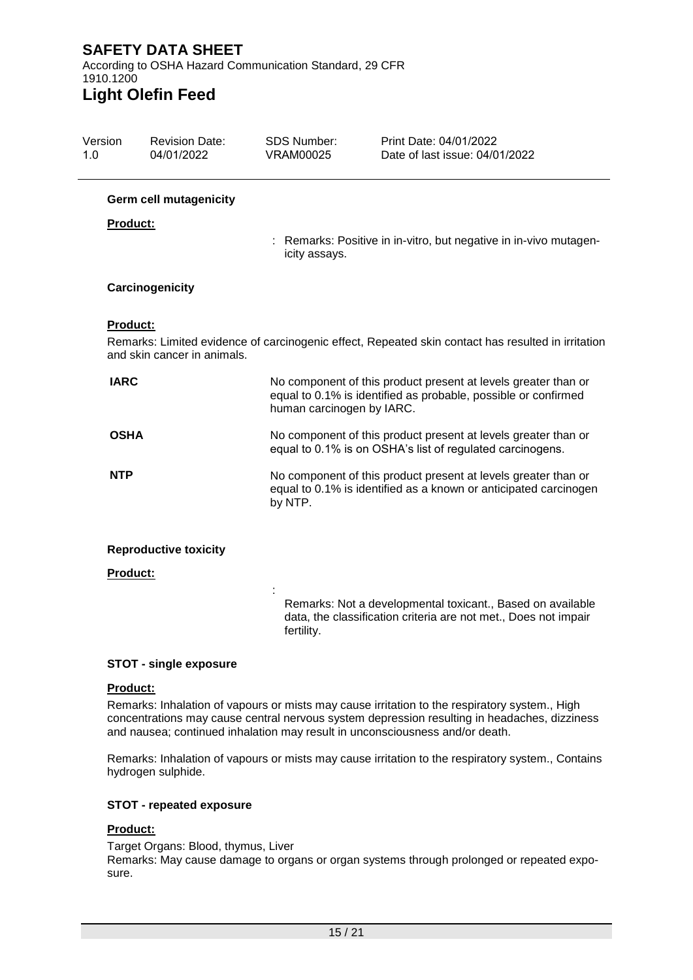According to OSHA Hazard Communication Standard, 29 CFR 1910.1200

# **Light Olefin Feed**

| Version<br>1.0  | <b>Revision Date:</b><br>04/01/2022 | <b>SDS Number:</b><br>VRAM00025 | Print Date: 04/01/2022<br>Date of last issue: 04/01/2022                                                                           |
|-----------------|-------------------------------------|---------------------------------|------------------------------------------------------------------------------------------------------------------------------------|
|                 | <b>Germ cell mutagenicity</b>       |                                 |                                                                                                                                    |
| <b>Product:</b> |                                     |                                 | : Remarks: Positive in in-vitro, but negative in in-vivo mutagen-                                                                  |
|                 |                                     | icity assays.                   |                                                                                                                                    |
|                 | Carcinogenicity                     |                                 |                                                                                                                                    |
| Product:        | and skin cancer in animals.         |                                 | Remarks: Limited evidence of carcinogenic effect, Repeated skin contact has resulted in irritation                                 |
| <b>IARC</b>     |                                     | human carcinogen by IARC.       | No component of this product present at levels greater than or<br>equal to 0.1% is identified as probable, possible or confirmed   |
| <b>OSHA</b>     |                                     |                                 | No component of this product present at levels greater than or<br>equal to 0.1% is on OSHA's list of regulated carcinogens.        |
| <b>NTP</b>      |                                     | by NTP.                         | No component of this product present at levels greater than or<br>equal to 0.1% is identified as a known or anticipated carcinogen |
|                 | <b>Reproductive toxicity</b>        |                                 |                                                                                                                                    |
| Product:        |                                     |                                 |                                                                                                                                    |
|                 |                                     | fertility.                      | Remarks: Not a developmental toxicant., Based on available<br>data, the classification criteria are not met., Does not impair      |

### **STOT - single exposure**

### **Product:**

Remarks: Inhalation of vapours or mists may cause irritation to the respiratory system., High concentrations may cause central nervous system depression resulting in headaches, dizziness and nausea; continued inhalation may result in unconsciousness and/or death.

Remarks: Inhalation of vapours or mists may cause irritation to the respiratory system., Contains hydrogen sulphide.

### **STOT - repeated exposure**

### **Product:**

Target Organs: Blood, thymus, Liver Remarks: May cause damage to organs or organ systems through prolonged or repeated exposure.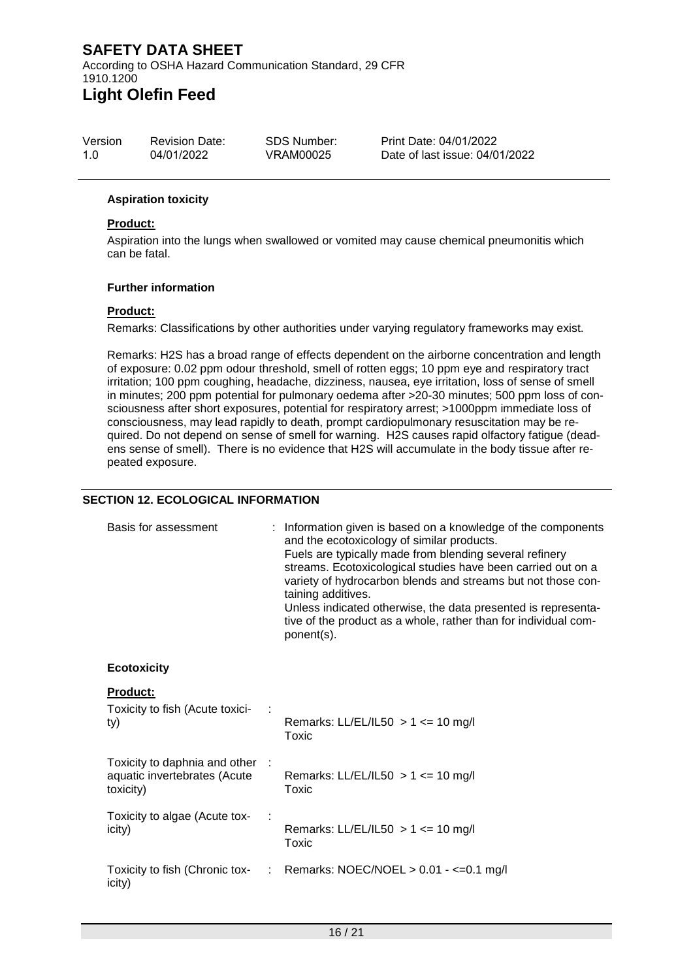### **SAFETY DATA SHEET** According to OSHA Hazard Communication Standard, 29 CFR 1910.1200 **Light Olefin Feed**

| Version | <b>Revision Date:</b> | SDS Number: | Print Date: 04/01/2022         |
|---------|-----------------------|-------------|--------------------------------|
| 1.0     | 04/01/2022            | VRAM00025   | Date of last issue: 04/01/2022 |

### **Aspiration toxicity**

### **Product:**

Aspiration into the lungs when swallowed or vomited may cause chemical pneumonitis which can be fatal.

#### **Further information**

#### **Product:**

Remarks: Classifications by other authorities under varying regulatory frameworks may exist.

Remarks: H2S has a broad range of effects dependent on the airborne concentration and length of exposure: 0.02 ppm odour threshold, smell of rotten eggs; 10 ppm eye and respiratory tract irritation; 100 ppm coughing, headache, dizziness, nausea, eye irritation, loss of sense of smell in minutes; 200 ppm potential for pulmonary oedema after >20-30 minutes; 500 ppm loss of consciousness after short exposures, potential for respiratory arrest; >1000ppm immediate loss of consciousness, may lead rapidly to death, prompt cardiopulmonary resuscitation may be required. Do not depend on sense of smell for warning. H2S causes rapid olfactory fatigue (deadens sense of smell). There is no evidence that H2S will accumulate in the body tissue after repeated exposure.

#### **SECTION 12. ECOLOGICAL INFORMATION**

| Basis for assessment                                                         | : Information given is based on a knowledge of the components<br>and the ecotoxicology of similar products.<br>Fuels are typically made from blending several refinery<br>streams. Ecotoxicological studies have been carried out on a<br>variety of hydrocarbon blends and streams but not those con-<br>taining additives.<br>Unless indicated otherwise, the data presented is representa-<br>tive of the product as a whole, rather than for individual com-<br>ponent(s). |
|------------------------------------------------------------------------------|--------------------------------------------------------------------------------------------------------------------------------------------------------------------------------------------------------------------------------------------------------------------------------------------------------------------------------------------------------------------------------------------------------------------------------------------------------------------------------|
| <b>Ecotoxicity</b>                                                           |                                                                                                                                                                                                                                                                                                                                                                                                                                                                                |
| Product:<br>Toxicity to fish (Acute toxici-<br>ty)                           | Remarks: LL/EL/IL50 $> 1$ <= 10 mg/l<br>Toxic                                                                                                                                                                                                                                                                                                                                                                                                                                  |
| Toxicity to daphnia and other :<br>aquatic invertebrates (Acute<br>toxicity) | Remarks: LL/EL/IL50 $> 1$ <= 10 mg/l<br>Toxic                                                                                                                                                                                                                                                                                                                                                                                                                                  |
| Toxicity to algae (Acute tox-<br>icity)                                      | Remarks: LL/EL/IL50 $> 1$ <= 10 mg/l<br>Toxic                                                                                                                                                                                                                                                                                                                                                                                                                                  |
| Toxicity to fish (Chronic tox-<br>icity)                                     | : Remarks: NOEC/NOEL $> 0.01 - \leq 0.1$ mg/l                                                                                                                                                                                                                                                                                                                                                                                                                                  |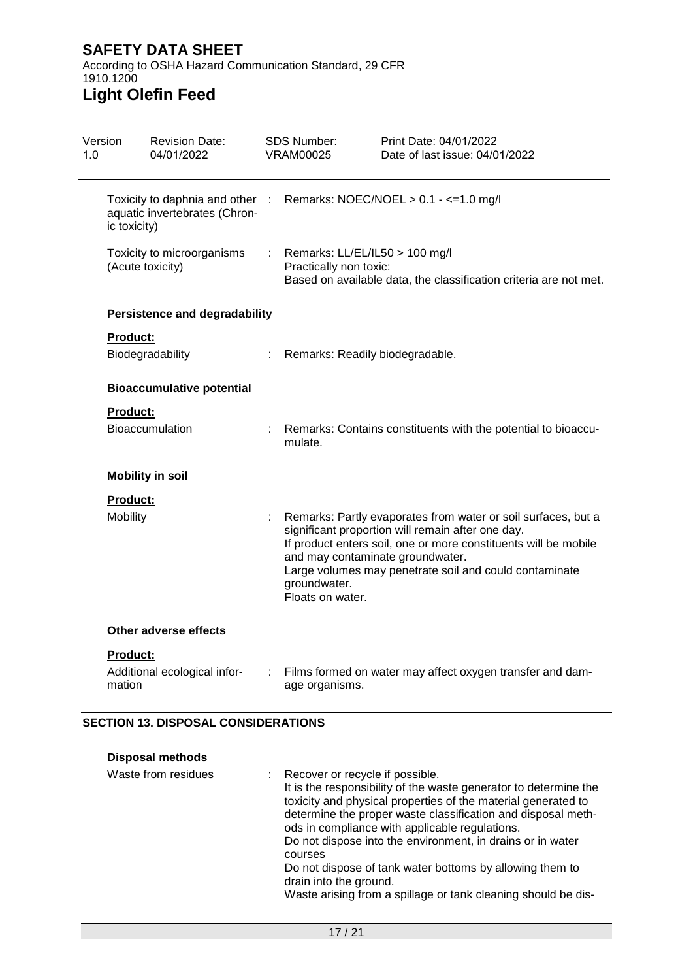According to OSHA Hazard Communication Standard, 29 CFR 1910.1200 **Light Olefin Feed**

### Version 1.0 Revision Date: 04/01/2022 SDS Number: VRAM00025 Print Date: 04/01/2022 Date of last issue: 04/01/2022 Toxicity to daphnia and other aquatic invertebrates (Chronic toxicity) : Remarks: NOEC/NOEL > 0.1 - <=1.0 mg/l Toxicity to microorganisms (Acute toxicity) : Remarks: LL/EL/IL50 > 100 mg/l Practically non toxic: Based on available data, the classification criteria are not met. **Persistence and degradability Product:** Biodegradability : Remarks: Readily biodegradable. **Bioaccumulative potential Product:** Bioaccumulation : Remarks: Contains constituents with the potential to bioaccumulate. **Mobility in soil Product:** Mobility **State Eart Example 20** Hobility : Remarks: Partly evaporates from water or soil surfaces, but a significant proportion will remain after one day. If product enters soil, one or more constituents will be mobile and may contaminate groundwater. Large volumes may penetrate soil and could contaminate groundwater. Floats on water. **Other adverse effects Product:** Additional ecological information : Films formed on water may affect oxygen transfer and damage organisms.

### **SECTION 13. DISPOSAL CONSIDERATIONS**

| <b>Disposal methods</b> |                                                                                                                                                                                                                                                                                                                                                                                                                                                                                                                          |
|-------------------------|--------------------------------------------------------------------------------------------------------------------------------------------------------------------------------------------------------------------------------------------------------------------------------------------------------------------------------------------------------------------------------------------------------------------------------------------------------------------------------------------------------------------------|
| Waste from residues     | : Recover or recycle if possible.<br>It is the responsibility of the waste generator to determine the<br>toxicity and physical properties of the material generated to<br>determine the proper waste classification and disposal meth-<br>ods in compliance with applicable regulations.<br>Do not dispose into the environment, in drains or in water<br>courses<br>Do not dispose of tank water bottoms by allowing them to<br>drain into the ground.<br>Waste arising from a spillage or tank cleaning should be dis- |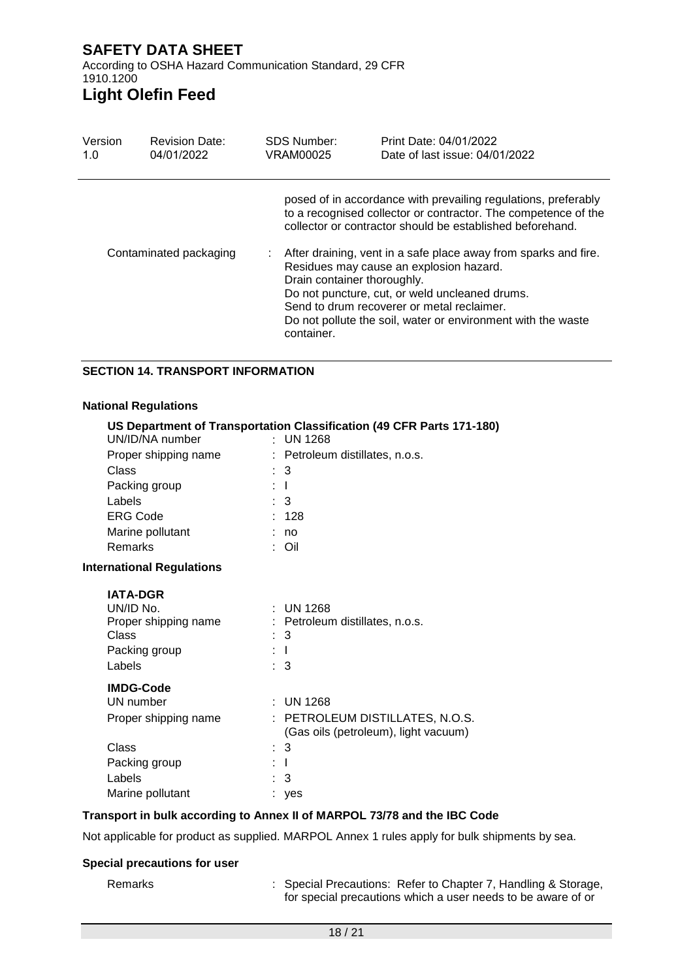According to OSHA Hazard Communication Standard, 29 CFR 1910.1200

# **Light Olefin Feed**

| Version<br>1.0 | <b>Revision Date:</b><br>04/01/2022 | <b>SDS Number:</b><br>VRAM00025           | Print Date: 04/01/2022<br>Date of last issue: 04/01/2022                                                                                                                                                                                                                                                                                                                                                                                                                    |
|----------------|-------------------------------------|-------------------------------------------|-----------------------------------------------------------------------------------------------------------------------------------------------------------------------------------------------------------------------------------------------------------------------------------------------------------------------------------------------------------------------------------------------------------------------------------------------------------------------------|
|                | Contaminated packaging              | Drain container thoroughly.<br>container. | posed of in accordance with prevailing regulations, preferably<br>to a recognised collector or contractor. The competence of the<br>collector or contractor should be established beforehand.<br>After draining, vent in a safe place away from sparks and fire.<br>Residues may cause an explosion hazard.<br>Do not puncture, cut, or weld uncleaned drums.<br>Send to drum recoverer or metal reclaimer.<br>Do not pollute the soil, water or environment with the waste |
|                |                                     |                                           |                                                                                                                                                                                                                                                                                                                                                                                                                                                                             |

### **SECTION 14. TRANSPORT INFORMATION**

#### **National Regulations**

|                                  |     | US Department of Transportation Classification (49 CFR Parts 171-180)   |
|----------------------------------|-----|-------------------------------------------------------------------------|
| UN/ID/NA number                  |     | $\therefore$ UN 1268                                                    |
| Proper shipping name             |     | : Petroleum distillates, n.o.s.                                         |
| Class                            |     | 3                                                                       |
| Packing group                    |     | $\perp$                                                                 |
| Labels                           |     | $\therefore$ 3                                                          |
| <b>ERG Code</b>                  |     | 128                                                                     |
| Marine pollutant                 |     | no                                                                      |
| <b>Remarks</b>                   |     | : Oil                                                                   |
| <b>International Regulations</b> |     |                                                                         |
| <b>IATA-DGR</b>                  |     |                                                                         |
| UN/ID No.                        |     | $:$ UN 1268                                                             |
| Proper shipping name             |     | : Petroleum distillates, n.o.s.                                         |
| Class                            |     | 3                                                                       |
| Packing group                    | : T |                                                                         |
| Labels                           |     | $\pm$ 3                                                                 |
| <b>IMDG-Code</b>                 |     |                                                                         |
| UN number                        |     | $:$ UN 1268                                                             |
| Proper shipping name             |     | : PETROLEUM DISTILLATES, N.O.S.<br>(Gas oils (petroleum), light vacuum) |
| <b>Class</b>                     |     | $\therefore$ 3                                                          |
| Packing group                    |     | $\perp$                                                                 |
| Labels                           |     | 3                                                                       |
| Marine pollutant                 |     | yes                                                                     |

### **Transport in bulk according to Annex II of MARPOL 73/78 and the IBC Code**

Not applicable for product as supplied. MARPOL Annex 1 rules apply for bulk shipments by sea.

### **Special precautions for user**

Remarks : Special Precautions: Refer to Chapter 7, Handling & Storage, for special precautions which a user needs to be aware of or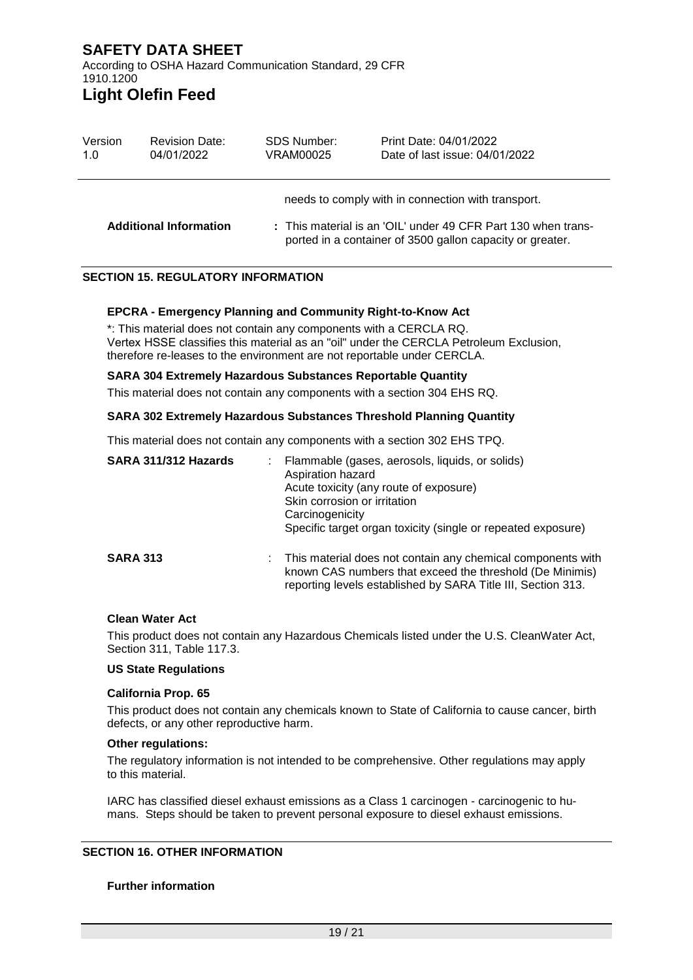### **SAFETY DATA SHEET** According to OSHA Hazard Communication Standard, 29 CFR 1910.1200 **Light Olefin Feed**

| Version | <b>Revision Date:</b>         | SDS Number: | Print Date: 04/01/2022                                                                                                                                                           |
|---------|-------------------------------|-------------|----------------------------------------------------------------------------------------------------------------------------------------------------------------------------------|
| 1.0     | 04/01/2022                    | VRAM00025   | Date of last issue: 04/01/2022                                                                                                                                                   |
|         | <b>Additional Information</b> |             | needs to comply with in connection with transport.<br>: This material is an 'OIL' under 49 CFR Part 130 when trans-<br>ported in a container of 3500 gallon capacity or greater. |

### **SECTION 15. REGULATORY INFORMATION**

#### **EPCRA - Emergency Planning and Community Right-to-Know Act**

\*: This material does not contain any components with a CERCLA RQ. Vertex HSSE classifies this material as an "oil" under the CERCLA Petroleum Exclusion, therefore re-leases to the environment are not reportable under CERCLA.

#### **SARA 304 Extremely Hazardous Substances Reportable Quantity**

This material does not contain any components with a section 304 EHS RQ.

#### **SARA 302 Extremely Hazardous Substances Threshold Planning Quantity**

This material does not contain any components with a section 302 EHS TPQ.

| SARA 311/312 Hazards |    | Flammable (gases, aerosols, liquids, or solids)<br>Aspiration hazard<br>Acute toxicity (any route of exposure)<br>Skin corrosion or irritation<br>Carcinogenicity<br>Specific target organ toxicity (single or repeated exposure) |
|----------------------|----|-----------------------------------------------------------------------------------------------------------------------------------------------------------------------------------------------------------------------------------|
| <b>SARA 313</b>      | ÷. | This material does not contain any chemical components with<br>known CAS numbers that exceed the threshold (De Minimis)<br>reporting levels established by SARA Title III, Section 313.                                           |

### **Clean Water Act**

This product does not contain any Hazardous Chemicals listed under the U.S. CleanWater Act, Section 311, Table 117.3.

#### **US State Regulations**

#### **California Prop. 65**

This product does not contain any chemicals known to State of California to cause cancer, birth defects, or any other reproductive harm.

#### **Other regulations:**

The regulatory information is not intended to be comprehensive. Other regulations may apply to this material.

IARC has classified diesel exhaust emissions as a Class 1 carcinogen - carcinogenic to humans. Steps should be taken to prevent personal exposure to diesel exhaust emissions.

### **SECTION 16. OTHER INFORMATION**

#### **Further information**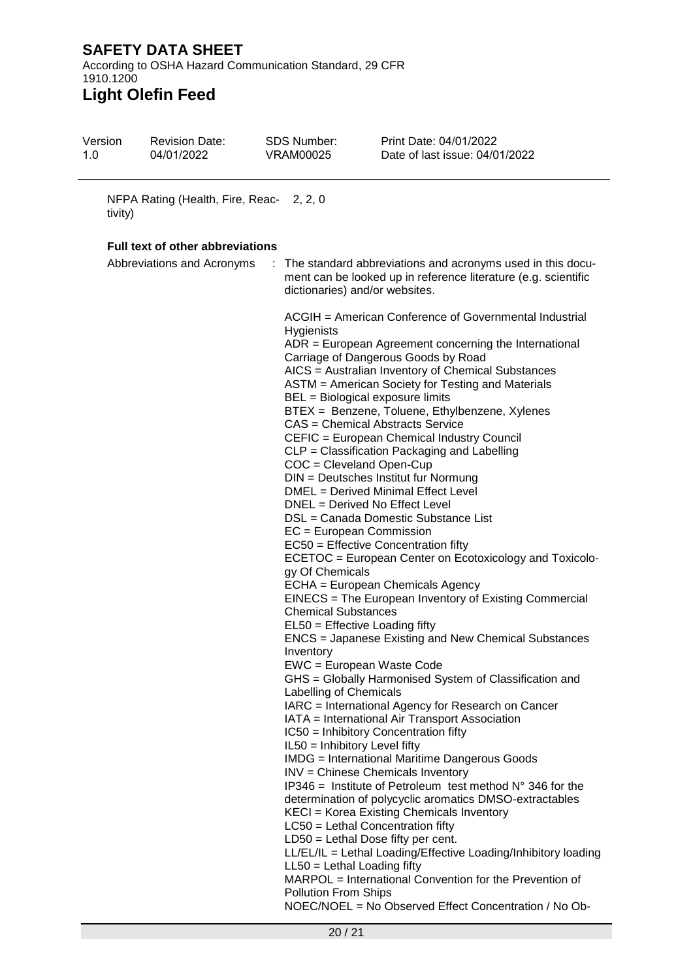According to OSHA Hazard Communication Standard, 29 CFR 1910.1200 **Light Olefin Feed**

| Version<br>1.0 | <b>Revision Date:</b><br>04/01/2022                                   | <b>SDS Number:</b><br><b>VRAM00025</b>                                                                                                                                                                                                                                                            | Print Date: 04/01/2022<br>Date of last issue: 04/01/2022                                                                                                                                                                                                                                                                                                                                                                                                                                                                                                                                                                                                                                                                                                                                                                                                                                                                                                                                                                                                                                                                                                                                                                                                                                                                                                                                                                                                                                                                                                                                                                                                     |  |  |  |  |  |
|----------------|-----------------------------------------------------------------------|---------------------------------------------------------------------------------------------------------------------------------------------------------------------------------------------------------------------------------------------------------------------------------------------------|--------------------------------------------------------------------------------------------------------------------------------------------------------------------------------------------------------------------------------------------------------------------------------------------------------------------------------------------------------------------------------------------------------------------------------------------------------------------------------------------------------------------------------------------------------------------------------------------------------------------------------------------------------------------------------------------------------------------------------------------------------------------------------------------------------------------------------------------------------------------------------------------------------------------------------------------------------------------------------------------------------------------------------------------------------------------------------------------------------------------------------------------------------------------------------------------------------------------------------------------------------------------------------------------------------------------------------------------------------------------------------------------------------------------------------------------------------------------------------------------------------------------------------------------------------------------------------------------------------------------------------------------------------------|--|--|--|--|--|
| tivity)        | NFPA Rating (Health, Fire, Reac- 2, 2, 0                              |                                                                                                                                                                                                                                                                                                   |                                                                                                                                                                                                                                                                                                                                                                                                                                                                                                                                                                                                                                                                                                                                                                                                                                                                                                                                                                                                                                                                                                                                                                                                                                                                                                                                                                                                                                                                                                                                                                                                                                                              |  |  |  |  |  |
|                |                                                                       |                                                                                                                                                                                                                                                                                                   |                                                                                                                                                                                                                                                                                                                                                                                                                                                                                                                                                                                                                                                                                                                                                                                                                                                                                                                                                                                                                                                                                                                                                                                                                                                                                                                                                                                                                                                                                                                                                                                                                                                              |  |  |  |  |  |
|                | <b>Full text of other abbreviations</b><br>Abbreviations and Acronyms |                                                                                                                                                                                                                                                                                                   | The standard abbreviations and acronyms used in this docu-<br>ment can be looked up in reference literature (e.g. scientific<br>dictionaries) and/or websites.                                                                                                                                                                                                                                                                                                                                                                                                                                                                                                                                                                                                                                                                                                                                                                                                                                                                                                                                                                                                                                                                                                                                                                                                                                                                                                                                                                                                                                                                                               |  |  |  |  |  |
|                |                                                                       | Hygienists<br>$COC = Cleveland Open-Cup$<br>EC = European Commission<br>gy Of Chemicals<br><b>Chemical Substances</b><br>EL50 = Effective Loading fifty<br>Inventory<br>Labelling of Chemicals<br>$IL50 = Inhibitory Level fifty$<br>$LL50 = Lethal$ Loading fifty<br><b>Pollution From Ships</b> | ACGIH = American Conference of Governmental Industrial<br>$ADR = European Agreement concerning the International$<br>Carriage of Dangerous Goods by Road<br>AICS = Australian Inventory of Chemical Substances<br>ASTM = American Society for Testing and Materials<br>BEL = Biological exposure limits<br>BTEX = Benzene, Toluene, Ethylbenzene, Xylenes<br>CAS = Chemical Abstracts Service<br>CEFIC = European Chemical Industry Council<br>CLP = Classification Packaging and Labelling<br>DIN = Deutsches Institut fur Normung<br>DMEL = Derived Minimal Effect Level<br>DNEL = Derived No Effect Level<br>DSL = Canada Domestic Substance List<br>$EC50 =$ Effective Concentration fifty<br>ECETOC = European Center on Ecotoxicology and Toxicolo-<br>ECHA = European Chemicals Agency<br>EINECS = The European Inventory of Existing Commercial<br><b>ENCS</b> = Japanese Existing and New Chemical Substances<br>EWC = European Waste Code<br>GHS = Globally Harmonised System of Classification and<br>IARC = International Agency for Research on Cancer<br>IATA = International Air Transport Association<br>IC50 = Inhibitory Concentration fifty<br><b>IMDG</b> = International Maritime Dangerous Goods<br><b>INV</b> = Chinese Chemicals Inventory<br>IP346 = Institute of Petroleum test method $N^{\circ}$ 346 for the<br>determination of polycyclic aromatics DMSO-extractables<br>KECI = Korea Existing Chemicals Inventory<br>$LC50$ = Lethal Concentration fifty<br>$LD50 = Lethal Does fifty per cent.$<br>LL/EL/IL = Lethal Loading/Effective Loading/Inhibitory loading<br>MARPOL = International Convention for the Prevention of |  |  |  |  |  |
|                |                                                                       |                                                                                                                                                                                                                                                                                                   | NOEC/NOEL = No Observed Effect Concentration / No Ob-                                                                                                                                                                                                                                                                                                                                                                                                                                                                                                                                                                                                                                                                                                                                                                                                                                                                                                                                                                                                                                                                                                                                                                                                                                                                                                                                                                                                                                                                                                                                                                                                        |  |  |  |  |  |